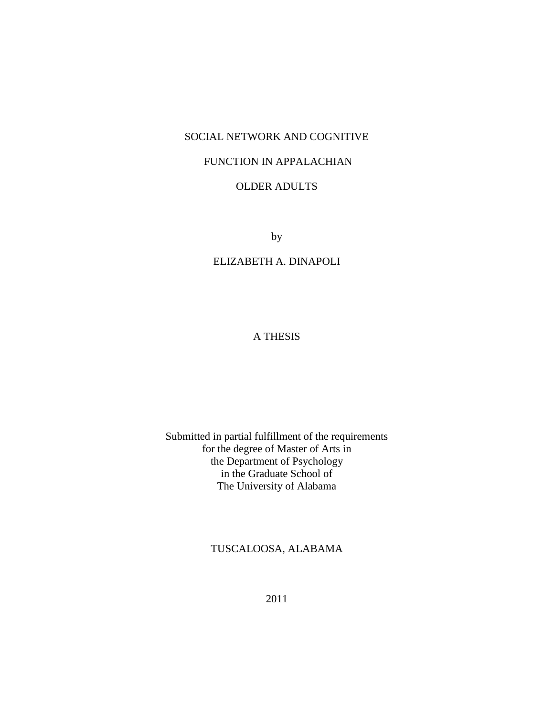## SOCIAL NETWORK AND COGNITIVE

## FUNCTION IN APPALACHIAN

## OLDER ADULTS

by

## ELIZABETH A. DINAPOLI

## A THESIS

## Submitted in partial fulfillment of the requirements for the degree of Master of Arts in the Department of Psychology in the Graduate School of The University of Alabama

## TUSCALOOSA, ALABAMA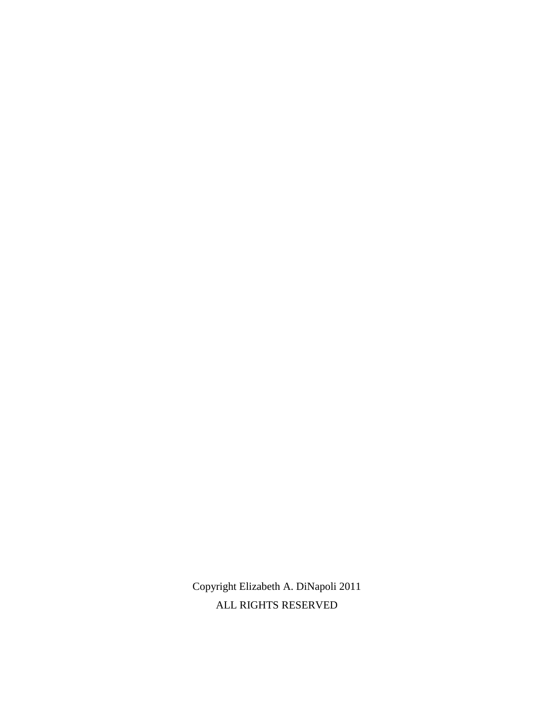Copyright Elizabeth A. DiNapoli 2011 ALL RIGHTS RESERVED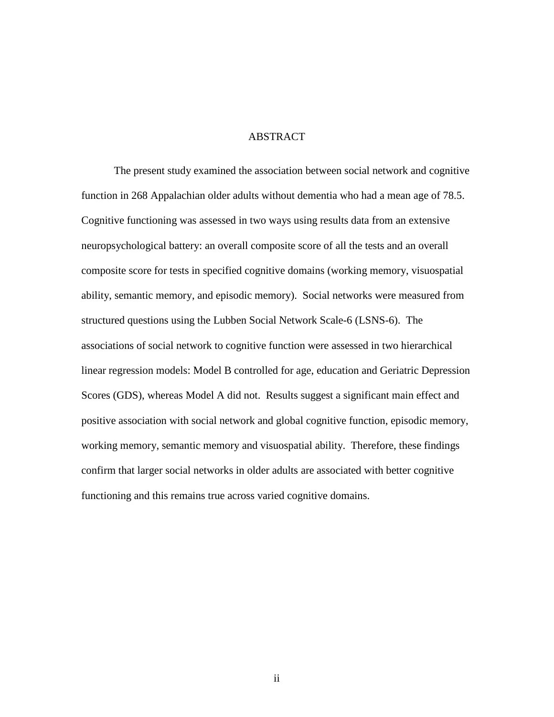### ABSTRACT

The present study examined the association between social network and cognitive function in 268 Appalachian older adults without dementia who had a mean age of 78.5. Cognitive functioning was assessed in two ways using results data from an extensive neuropsychological battery: an overall composite score of all the tests and an overall composite score for tests in specified cognitive domains (working memory, visuospatial ability, semantic memory, and episodic memory). Social networks were measured from structured questions using the Lubben Social Network Scale-6 (LSNS-6). The associations of social network to cognitive function were assessed in two hierarchical linear regression models: Model B controlled for age, education and Geriatric Depression Scores (GDS), whereas Model A did not. Results suggest a significant main effect and positive association with social network and global cognitive function, episodic memory, working memory, semantic memory and visuospatial ability. Therefore, these findings confirm that larger social networks in older adults are associated with better cognitive functioning and this remains true across varied cognitive domains.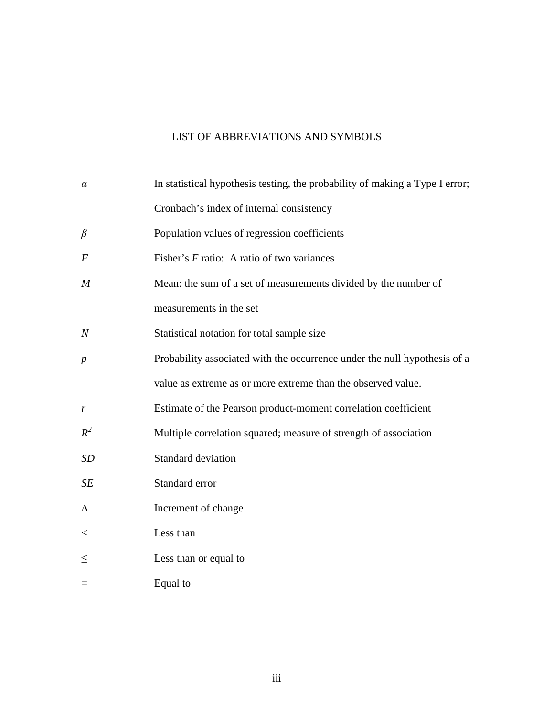# LIST OF ABBREVIATIONS AND SYMBOLS

| $\alpha$         | In statistical hypothesis testing, the probability of making a Type I error; |
|------------------|------------------------------------------------------------------------------|
|                  | Cronbach's index of internal consistency                                     |
| $\beta$          | Population values of regression coefficients                                 |
| $\boldsymbol{F}$ | Fisher's $F$ ratio: A ratio of two variances                                 |
| $\boldsymbol{M}$ | Mean: the sum of a set of measurements divided by the number of              |
|                  | measurements in the set                                                      |
| $\overline{N}$   | Statistical notation for total sample size                                   |
| $\boldsymbol{p}$ | Probability associated with the occurrence under the null hypothesis of a    |
|                  | value as extreme as or more extreme than the observed value.                 |
| r                | Estimate of the Pearson product-moment correlation coefficient               |
| $R^2$            | Multiple correlation squared; measure of strength of association             |
| <b>SD</b>        | Standard deviation                                                           |
| SE               | Standard error                                                               |
| Δ                | Increment of change                                                          |
| $<\,$            | Less than                                                                    |
| $\leq$           | Less than or equal to                                                        |
| $\equiv$         | Equal to                                                                     |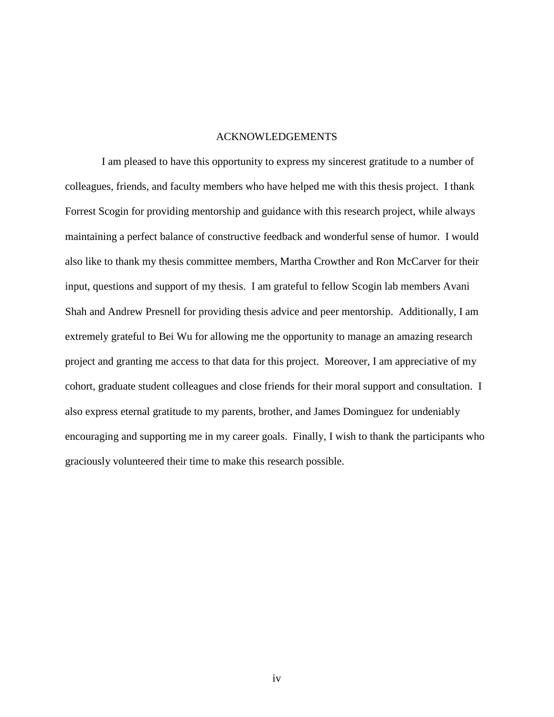#### ACKNOWLEDGEMENTS

I am pleased to have this opportunity to express my sincerest gratitude to a number of colleagues, friends, and faculty members who have helped me with this thesis project. I thank Forrest Scogin for providing mentorship and guidance with this research project, while always maintaining a perfect balance of constructive feedback and wonderful sense of humor. I would also like to thank my thesis committee members, Martha Crowther and Ron McCarver for their input, questions and support of my thesis. I am grateful to fellow Scogin lab members Avani Shah and Andrew Presnell for providing thesis advice and peer mentorship. Additionally, I am extremely grateful to Bei Wu for allowing me the opportunity to manage an amazing research project and granting me access to that data for this project. Moreover, I am appreciative of my cohort, graduate student colleagues and close friends for their moral support and consultation. I also express eternal gratitude to my parents, brother, and James Dominguez for undeniably encouraging and supporting me in my career goals. Finally, I wish to thank the participants who graciously volunteered their time to make this research possible.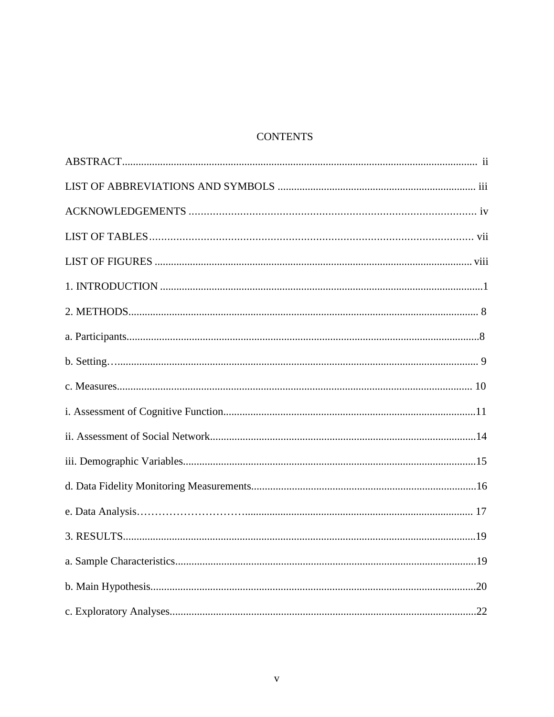# **CONTENTS**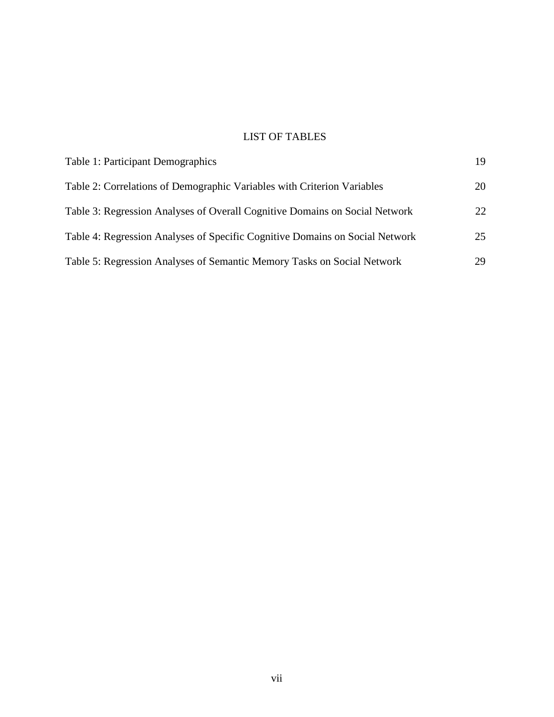# LIST OF TABLES

| Table 1: Participant Demographics                                            | 19 |
|------------------------------------------------------------------------------|----|
| Table 2: Correlations of Demographic Variables with Criterion Variables      | 20 |
| Table 3: Regression Analyses of Overall Cognitive Domains on Social Network  | 22 |
| Table 4: Regression Analyses of Specific Cognitive Domains on Social Network | 25 |
| Table 5: Regression Analyses of Semantic Memory Tasks on Social Network      | 29 |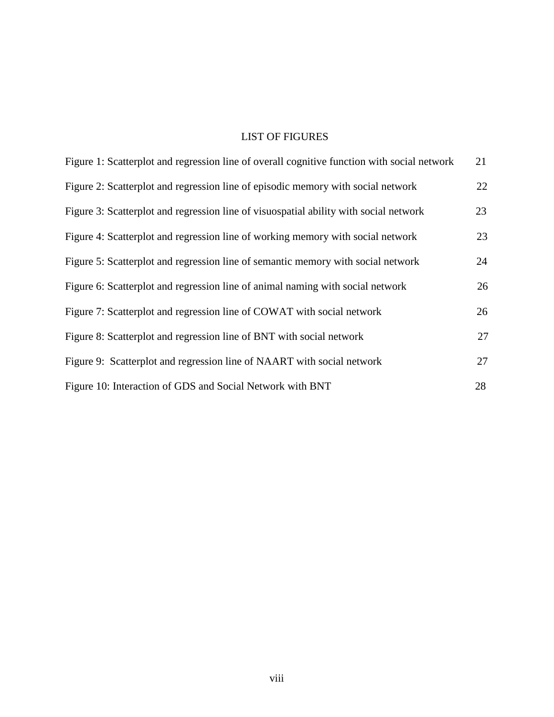# LIST OF FIGURES

| Figure 1: Scatterplot and regression line of overall cognitive function with social network | 21 |
|---------------------------------------------------------------------------------------------|----|
| Figure 2: Scatterplot and regression line of episodic memory with social network            | 22 |
| Figure 3: Scatterplot and regression line of visuospatial ability with social network       | 23 |
| Figure 4: Scatterplot and regression line of working memory with social network             | 23 |
| Figure 5: Scatterplot and regression line of semantic memory with social network            | 24 |
| Figure 6: Scatterplot and regression line of animal naming with social network              | 26 |
| Figure 7: Scatterplot and regression line of COWAT with social network                      | 26 |
| Figure 8: Scatterplot and regression line of BNT with social network                        | 27 |
| Figure 9: Scatterplot and regression line of NAART with social network                      | 27 |
| Figure 10: Interaction of GDS and Social Network with BNT                                   | 28 |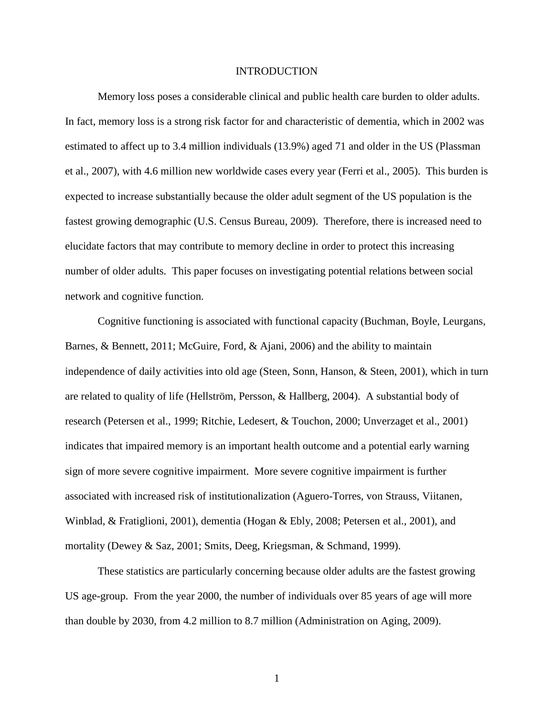#### **INTRODUCTION**

Memory loss poses a considerable clinical and public health care burden to older adults. In fact, memory loss is a strong risk factor for and characteristic of dementia, which in 2002 was estimated to affect up to 3.4 million individuals (13.9%) aged 71 and older in the US (Plassman et al., 2007), with 4.6 million new worldwide cases every year (Ferri et al., 2005). This burden is expected to increase substantially because the older adult segment of the US population is the fastest growing demographic (U.S. Census Bureau, 2009). Therefore, there is increased need to elucidate factors that may contribute to memory decline in order to protect this increasing number of older adults. This paper focuses on investigating potential relations between social network and cognitive function.

Cognitive functioning is associated with functional capacity (Buchman, Boyle, Leurgans, Barnes, & Bennett, 2011; McGuire, Ford, & Ajani, 2006) and the ability to maintain independence of daily activities into old age (Steen, Sonn, Hanson, & Steen, 2001), which in turn are related to quality of life (Hellström, Persson, & Hallberg, 2004). A substantial body of research (Petersen et al., 1999; Ritchie, Ledesert, & Touchon, 2000; Unverzaget et al., 2001) indicates that impaired memory is an important health outcome and a potential early warning sign of more severe cognitive impairment. More severe cognitive impairment is further associated with increased risk of institutionalization (Aguero-Torres, von Strauss, Viitanen, Winblad, & Fratiglioni, 2001), dementia (Hogan & Ebly, 2008; Petersen et al., 2001), and mortality (Dewey & Saz, 2001; Smits, Deeg, Kriegsman, & Schmand, 1999).

These statistics are particularly concerning because older adults are the fastest growing US age-group. From the year 2000, the number of individuals over 85 years of age will more than double by 2030, from 4.2 million to 8.7 million (Administration on Aging, 2009).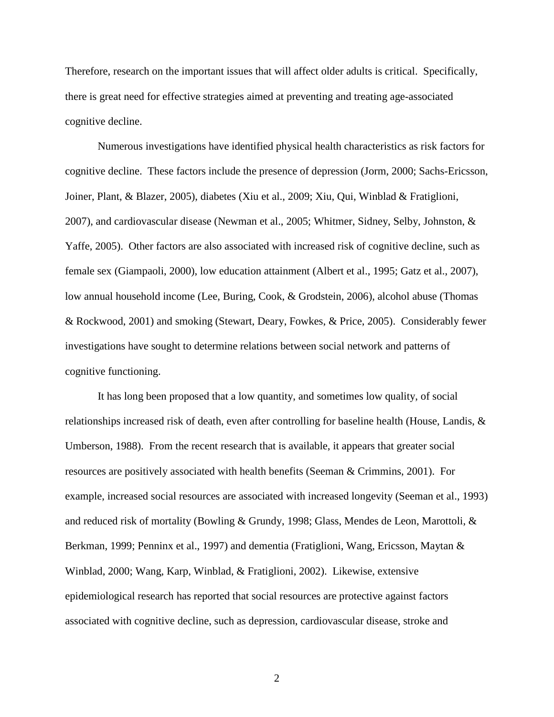Therefore, research on the important issues that will affect older adults is critical. Specifically, there is great need for effective strategies aimed at preventing and treating age-associated cognitive decline.

Numerous investigations have identified physical health characteristics as risk factors for cognitive decline. These factors include the presence of depression (Jorm, 2000; Sachs-Ericsson, Joiner, Plant, & Blazer, 2005), diabetes (Xiu et al., 2009; Xiu, Qui, Winblad & Fratiglioni, 2007), and cardiovascular disease (Newman et al., 2005; Whitmer, Sidney, Selby, Johnston, & Yaffe, 2005). Other factors are also associated with increased risk of cognitive decline, such as female sex (Giampaoli, 2000), low education attainment (Albert et al., 1995; Gatz et al., 2007), low annual household income (Lee, Buring, Cook, & Grodstein, 2006), alcohol abuse (Thomas & Rockwood, 2001) and smoking (Stewart, Deary, Fowkes, & Price, 2005). Considerably fewer investigations have sought to determine relations between social network and patterns of cognitive functioning.

It has long been proposed that a low quantity, and sometimes low quality, of social relationships increased risk of death, even after controlling for baseline health (House, Landis, & Umberson, 1988). From the recent research that is available, it appears that greater social resources are positively associated with health benefits (Seeman & Crimmins, 2001). For example, increased social resources are associated with increased longevity (Seeman et al., 1993) and reduced risk of mortality (Bowling & Grundy, 1998; Glass, Mendes de Leon, Marottoli, & Berkman, 1999; Penninx et al., 1997) and dementia (Fratiglioni, Wang, Ericsson, Maytan & Winblad, 2000; Wang, Karp, Winblad, & Fratiglioni, 2002). Likewise, extensive epidemiological research has reported that social resources are protective against factors associated with cognitive decline, such as depression, cardiovascular disease, stroke and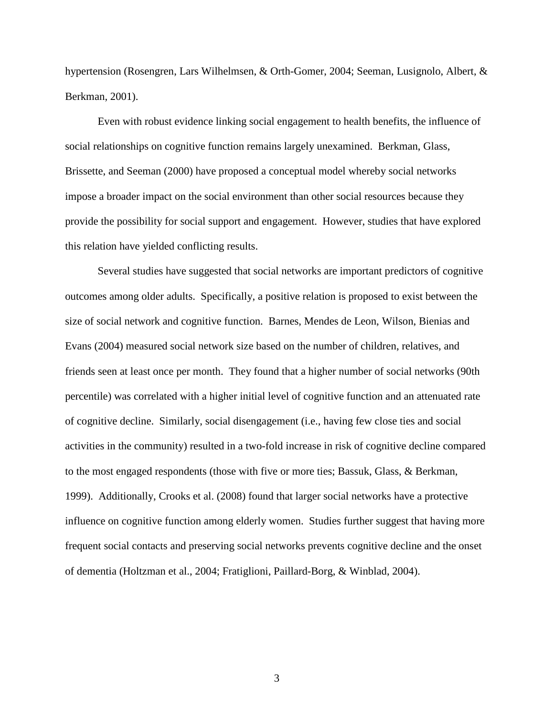hypertension (Rosengren, Lars Wilhelmsen, & Orth-Gomer, 2004; Seeman, Lusignolo, Albert, & Berkman, 2001).

Even with robust evidence linking social engagement to health benefits, the influence of social relationships on cognitive function remains largely unexamined. Berkman, Glass, Brissette, and Seeman (2000) have proposed a conceptual model whereby social networks impose a broader impact on the social environment than other social resources because they provide the possibility for social support and engagement. However, studies that have explored this relation have yielded conflicting results.

Several studies have suggested that social networks are important predictors of cognitive outcomes among older adults. Specifically, a positive relation is proposed to exist between the size of social network and cognitive function. Barnes, Mendes de Leon, Wilson, Bienias and Evans (2004) measured social network size based on the number of children, relatives, and friends seen at least once per month. They found that a higher number of social networks (90th percentile) was correlated with a higher initial level of cognitive function and an attenuated rate of cognitive decline. Similarly, social disengagement (i.e., having few close ties and social activities in the community) resulted in a two-fold increase in risk of cognitive decline compared to the most engaged respondents (those with five or more ties; Bassuk, Glass, & Berkman, 1999). Additionally, Crooks et al. (2008) found that larger social networks have a protective influence on cognitive function among elderly women. Studies further suggest that having more frequent social contacts and preserving social networks prevents cognitive decline and the onset of dementia (Holtzman et al., 2004; Fratiglioni, Paillard-Borg, & Winblad, 2004).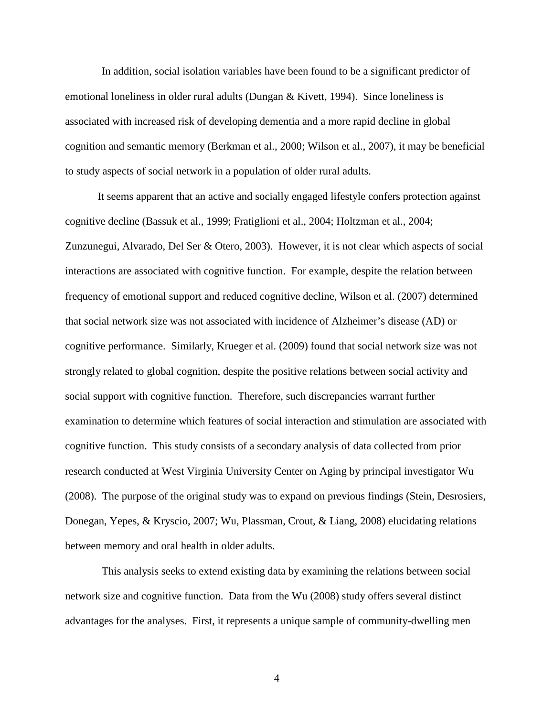In addition, social isolation variables have been found to be a significant predictor of emotional loneliness in older rural adults (Dungan & Kivett, 1994). Since loneliness is associated with increased risk of developing dementia and a more rapid decline in global cognition and semantic memory (Berkman et al., 2000; Wilson et al., 2007), it may be beneficial to study aspects of social network in a population of older rural adults.

It seems apparent that an active and socially engaged lifestyle confers protection against cognitive decline (Bassuk et al., 1999; Fratiglioni et al., 2004; Holtzman et al., 2004; Zunzunegui, Alvarado, Del Ser & Otero, 2003). However, it is not clear which aspects of social interactions are associated with cognitive function. For example, despite the relation between frequency of emotional support and reduced cognitive decline, Wilson et al. (2007) determined that social network size was not associated with incidence of Alzheimer's disease (AD) or cognitive performance. Similarly, Krueger et al. (2009) found that social network size was not strongly related to global cognition, despite the positive relations between social activity and social support with cognitive function. Therefore, such discrepancies warrant further examination to determine which features of social interaction and stimulation are associated with cognitive function. This study consists of a secondary analysis of data collected from prior research conducted at West Virginia University Center on Aging by principal investigator Wu (2008). The purpose of the original study was to expand on previous findings (Stein, Desrosiers, Donegan, Yepes, & Kryscio, 2007; Wu, Plassman, Crout, & Liang, 2008) elucidating relations between memory and oral health in older adults.

This analysis seeks to extend existing data by examining the relations between social network size and cognitive function. Data from the Wu (2008) study offers several distinct advantages for the analyses. First, it represents a unique sample of community-dwelling men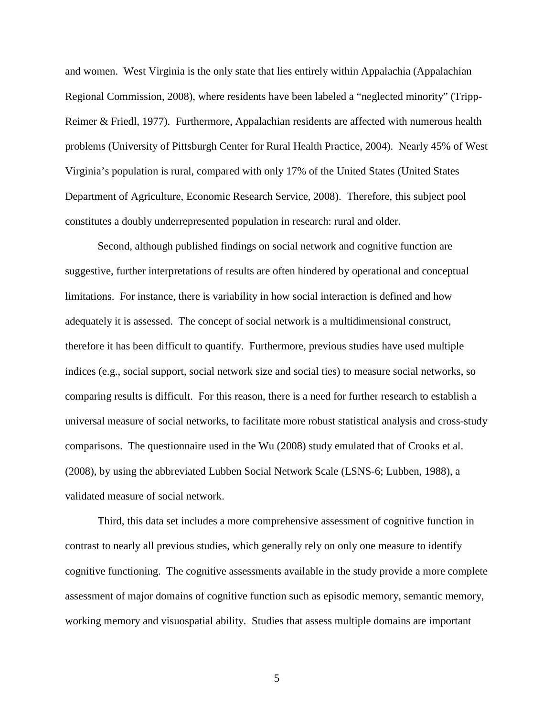and women. West Virginia is the only state that lies entirely within Appalachia (Appalachian Regional Commission, 2008), where residents have been labeled a "neglected minority" (Tripp-Reimer & Friedl, 1977). Furthermore, Appalachian residents are affected with numerous health problems (University of Pittsburgh Center for Rural Health Practice, 2004). Nearly 45% of West Virginia's population is rural, compared with only 17% of the United States (United States Department of Agriculture, Economic Research Service, 2008). Therefore, this subject pool constitutes a doubly underrepresented population in research: rural and older.

Second, although published findings on social network and cognitive function are suggestive, further interpretations of results are often hindered by operational and conceptual limitations. For instance, there is variability in how social interaction is defined and how adequately it is assessed. The concept of social network is a multidimensional construct, therefore it has been difficult to quantify. Furthermore, previous studies have used multiple indices (e.g., social support, social network size and social ties) to measure social networks, so comparing results is difficult. For this reason, there is a need for further research to establish a universal measure of social networks, to facilitate more robust statistical analysis and cross-study comparisons. The questionnaire used in the Wu (2008) study emulated that of Crooks et al. (2008), by using the abbreviated Lubben Social Network Scale (LSNS-6; Lubben, 1988), a validated measure of social network.

Third, this data set includes a more comprehensive assessment of cognitive function in contrast to nearly all previous studies, which generally rely on only one measure to identify cognitive functioning. The cognitive assessments available in the study provide a more complete assessment of major domains of cognitive function such as episodic memory, semantic memory, working memory and visuospatial ability. Studies that assess multiple domains are important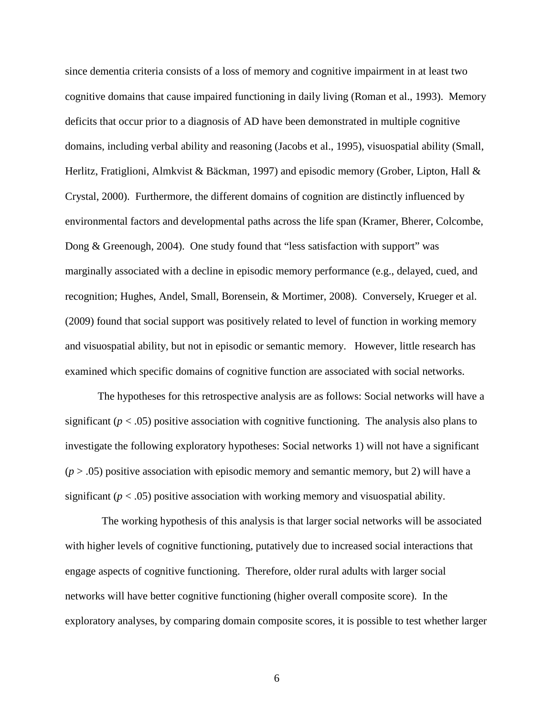since dementia criteria consists of a loss of memory and cognitive impairment in at least two cognitive domains that cause impaired functioning in daily living (Roman et al., 1993). Memory deficits that occur prior to a diagnosis of AD have been demonstrated in multiple cognitive domains, including verbal ability and reasoning (Jacobs et al., 1995), visuospatial ability (Small, Herlitz, Fratiglioni, Almkvist & Bäckman, 1997) and episodic memory (Grober, Lipton, Hall & Crystal, 2000). Furthermore, the different domains of cognition are distinctly influenced by environmental factors and developmental paths across the life span (Kramer, Bherer, Colcombe, Dong & Greenough, 2004). One study found that "less satisfaction with support" was marginally associated with a decline in episodic memory performance (e.g., delayed, cued, and recognition; Hughes, Andel, Small, Borensein, & Mortimer, 2008). Conversely, Krueger et al. (2009) found that social support was positively related to level of function in working memory and visuospatial ability, but not in episodic or semantic memory. However, little research has examined which specific domains of cognitive function are associated with social networks.

The hypotheses for this retrospective analysis are as follows: Social networks will have a significant  $(p < .05)$  positive association with cognitive functioning. The analysis also plans to investigate the following exploratory hypotheses: Social networks 1) will not have a significant  $(p > .05)$  positive association with episodic memory and semantic memory, but 2) will have a significant  $(p < .05)$  positive association with working memory and visuospatial ability.

The working hypothesis of this analysis is that larger social networks will be associated with higher levels of cognitive functioning, putatively due to increased social interactions that engage aspects of cognitive functioning. Therefore, older rural adults with larger social networks will have better cognitive functioning (higher overall composite score). In the exploratory analyses, by comparing domain composite scores, it is possible to test whether larger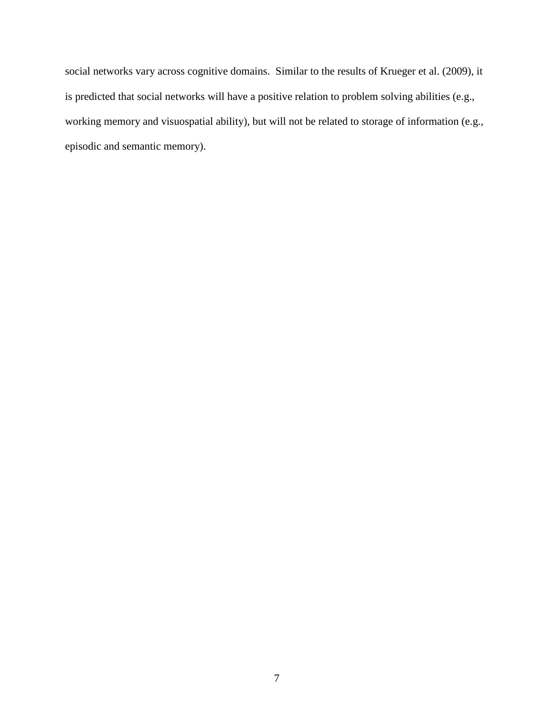social networks vary across cognitive domains. Similar to the results of Krueger et al. (2009), it is predicted that social networks will have a positive relation to problem solving abilities (e.g., working memory and visuospatial ability), but will not be related to storage of information (e.g., episodic and semantic memory).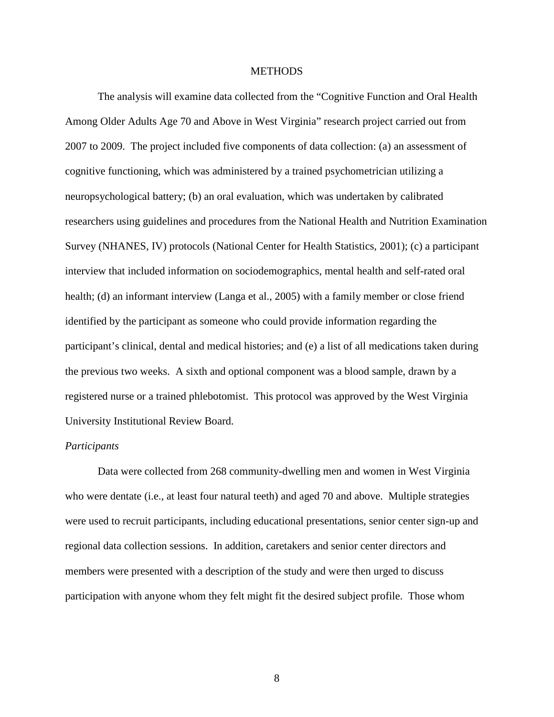## **METHODS**

The analysis will examine data collected from the "Cognitive Function and Oral Health Among Older Adults Age 70 and Above in West Virginia" research project carried out from 2007 to 2009. The project included five components of data collection: (a) an assessment of cognitive functioning, which was administered by a trained psychometrician utilizing a neuropsychological battery; (b) an oral evaluation, which was undertaken by calibrated researchers using guidelines and procedures from the National Health and Nutrition Examination Survey (NHANES, IV) protocols (National Center for Health Statistics, 2001); (c) a participant interview that included information on sociodemographics, mental health and self-rated oral health; (d) an informant interview (Langa et al., 2005) with a family member or close friend identified by the participant as someone who could provide information regarding the participant's clinical, dental and medical histories; and (e) a list of all medications taken during the previous two weeks. A sixth and optional component was a blood sample, drawn by a registered nurse or a trained phlebotomist. This protocol was approved by the West Virginia University Institutional Review Board.

#### *Participants*

Data were collected from 268 community-dwelling men and women in West Virginia who were dentate (i.e., at least four natural teeth) and aged 70 and above. Multiple strategies were used to recruit participants, including educational presentations, senior center sign-up and regional data collection sessions. In addition, caretakers and senior center directors and members were presented with a description of the study and were then urged to discuss participation with anyone whom they felt might fit the desired subject profile. Those whom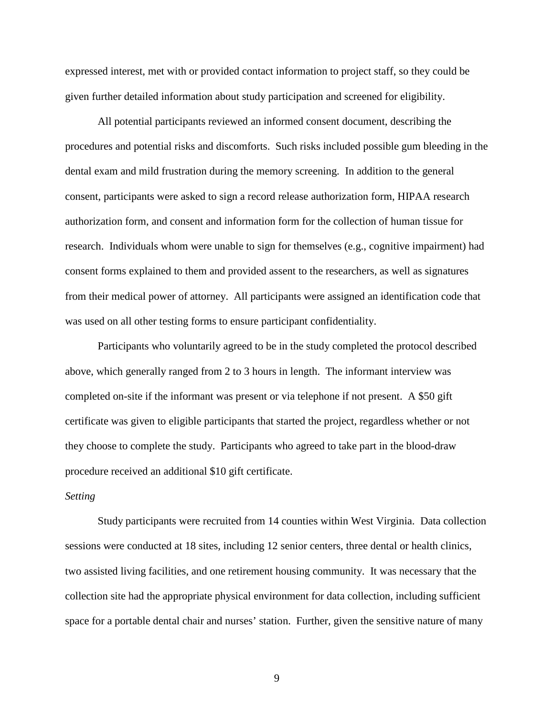expressed interest, met with or provided contact information to project staff, so they could be given further detailed information about study participation and screened for eligibility.

All potential participants reviewed an informed consent document, describing the procedures and potential risks and discomforts. Such risks included possible gum bleeding in the dental exam and mild frustration during the memory screening. In addition to the general consent, participants were asked to sign a record release authorization form, HIPAA research authorization form, and consent and information form for the collection of human tissue for research. Individuals whom were unable to sign for themselves (e.g., cognitive impairment) had consent forms explained to them and provided assent to the researchers, as well as signatures from their medical power of attorney. All participants were assigned an identification code that was used on all other testing forms to ensure participant confidentiality.

Participants who voluntarily agreed to be in the study completed the protocol described above, which generally ranged from 2 to 3 hours in length. The informant interview was completed on-site if the informant was present or via telephone if not present. A \$50 gift certificate was given to eligible participants that started the project, regardless whether or not they choose to complete the study. Participants who agreed to take part in the blood-draw procedure received an additional \$10 gift certificate.

## *Setting*

Study participants were recruited from 14 counties within West Virginia. Data collection sessions were conducted at 18 sites, including 12 senior centers, three dental or health clinics, two assisted living facilities, and one retirement housing community. It was necessary that the collection site had the appropriate physical environment for data collection, including sufficient space for a portable dental chair and nurses' station. Further, given the sensitive nature of many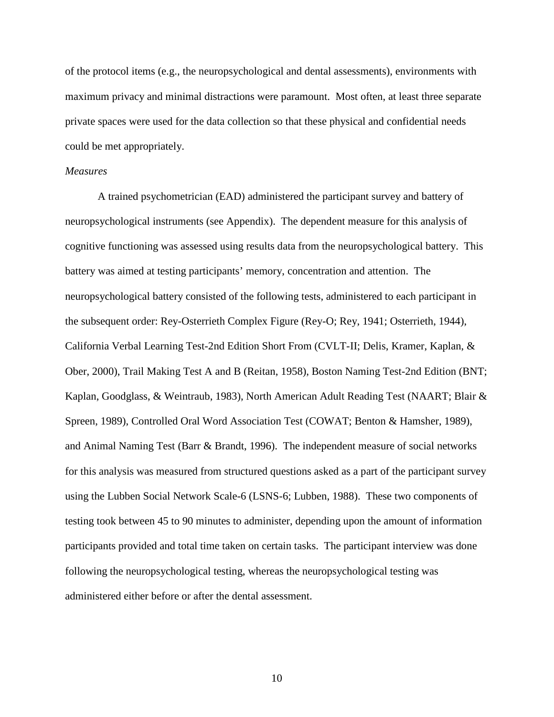of the protocol items (e.g., the neuropsychological and dental assessments), environments with maximum privacy and minimal distractions were paramount. Most often, at least three separate private spaces were used for the data collection so that these physical and confidential needs could be met appropriately.

### *Measures*

A trained psychometrician (EAD) administered the participant survey and battery of neuropsychological instruments (see Appendix). The dependent measure for this analysis of cognitive functioning was assessed using results data from the neuropsychological battery. This battery was aimed at testing participants' memory, concentration and attention. The neuropsychological battery consisted of the following tests, administered to each participant in the subsequent order: Rey-Osterrieth Complex Figure (Rey-O; Rey, 1941; Osterrieth, 1944), California Verbal Learning Test-2nd Edition Short From (CVLT-II; Delis, Kramer, Kaplan, & Ober, 2000), Trail Making Test A and B (Reitan, 1958), Boston Naming Test-2nd Edition (BNT; Kaplan, Goodglass, & Weintraub, 1983), North American Adult Reading Test (NAART; Blair & Spreen, 1989), Controlled Oral Word Association Test (COWAT; Benton & Hamsher, 1989), and Animal Naming Test (Barr & Brandt, 1996). The independent measure of social networks for this analysis was measured from structured questions asked as a part of the participant survey using the Lubben Social Network Scale-6 (LSNS-6; Lubben, 1988). These two components of testing took between 45 to 90 minutes to administer, depending upon the amount of information participants provided and total time taken on certain tasks. The participant interview was done following the neuropsychological testing, whereas the neuropsychological testing was administered either before or after the dental assessment.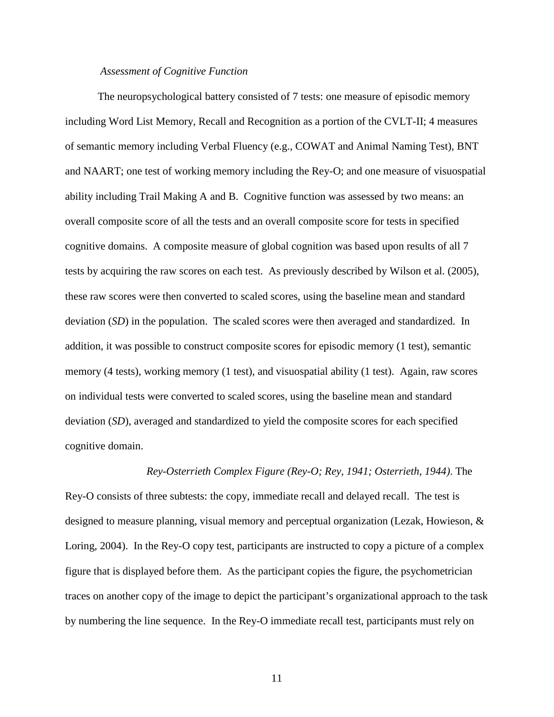#### *Assessment of Cognitive Function*

The neuropsychological battery consisted of 7 tests: one measure of episodic memory including Word List Memory, Recall and Recognition as a portion of the CVLT-II; 4 measures of semantic memory including Verbal Fluency (e.g., COWAT and Animal Naming Test), BNT and NAART; one test of working memory including the Rey-O; and one measure of visuospatial ability including Trail Making A and B. Cognitive function was assessed by two means: an overall composite score of all the tests and an overall composite score for tests in specified cognitive domains. A composite measure of global cognition was based upon results of all 7 tests by acquiring the raw scores on each test. As previously described by Wilson et al. (2005), these raw scores were then converted to scaled scores, using the baseline mean and standard deviation (*SD*) in the population. The scaled scores were then averaged and standardized. In addition, it was possible to construct composite scores for episodic memory (1 test), semantic memory (4 tests), working memory (1 test), and visuospatial ability (1 test). Again, raw scores on individual tests were converted to scaled scores, using the baseline mean and standard deviation (*SD*), averaged and standardized to yield the composite scores for each specified cognitive domain.

#### *Rey-Osterrieth Complex Figure (Rey-O; Rey, 1941; Osterrieth, 1944)*. The

Rey-O consists of three subtests: the copy, immediate recall and delayed recall. The test is designed to measure planning, visual memory and perceptual organization (Lezak, Howieson, & Loring, 2004). In the Rey-O copy test, participants are instructed to copy a picture of a complex figure that is displayed before them. As the participant copies the figure, the psychometrician traces on another copy of the image to depict the participant's organizational approach to the task by numbering the line sequence. In the Rey-O immediate recall test, participants must rely on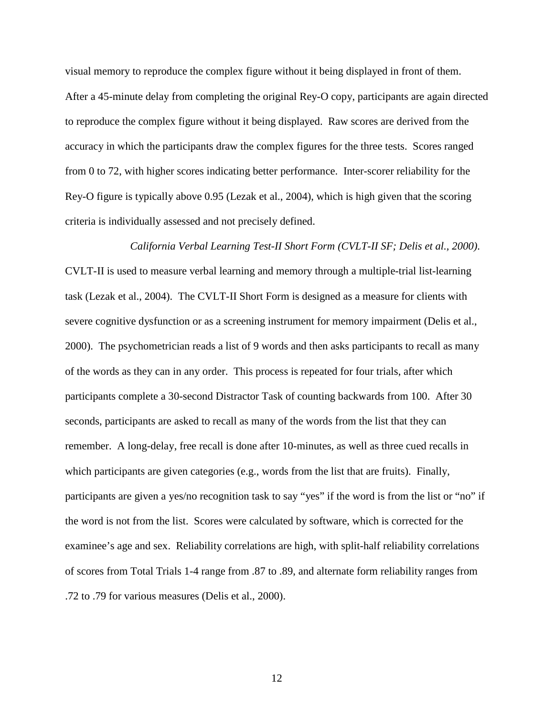visual memory to reproduce the complex figure without it being displayed in front of them. After a 45-minute delay from completing the original Rey-O copy, participants are again directed to reproduce the complex figure without it being displayed. Raw scores are derived from the accuracy in which the participants draw the complex figures for the three tests. Scores ranged from 0 to 72, with higher scores indicating better performance. Inter-scorer reliability for the Rey-O figure is typically above 0.95 (Lezak et al., 2004), which is high given that the scoring criteria is individually assessed and not precisely defined.

*California Verbal Learning Test-II Short Form (CVLT-II SF; Delis et al., 2000)*. CVLT-II is used to measure verbal learning and memory through a multiple-trial list-learning task (Lezak et al., 2004). The CVLT-II Short Form is designed as a measure for clients with severe cognitive dysfunction or as a screening instrument for memory impairment (Delis et al., 2000). The psychometrician reads a list of 9 words and then asks participants to recall as many of the words as they can in any order. This process is repeated for four trials, after which participants complete a 30-second Distractor Task of counting backwards from 100. After 30 seconds, participants are asked to recall as many of the words from the list that they can remember. A long-delay, free recall is done after 10-minutes, as well as three cued recalls in which participants are given categories (e.g., words from the list that are fruits). Finally, participants are given a yes/no recognition task to say "yes" if the word is from the list or "no" if the word is not from the list. Scores were calculated by software, which is corrected for the examinee's age and sex. Reliability correlations are high, with split-half reliability correlations of scores from Total Trials 1-4 range from .87 to .89, and alternate form reliability ranges from .72 to .79 for various measures (Delis et al., 2000).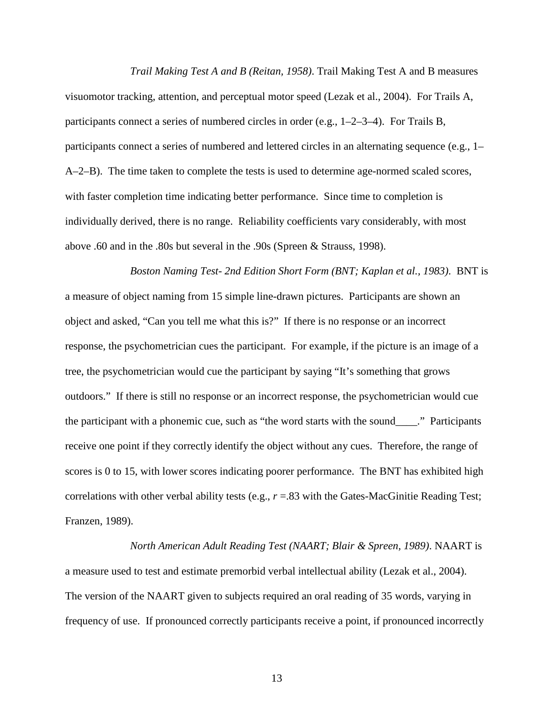*Trail Making Test A and B (Reitan, 1958)*. Trail Making Test A and B measures visuomotor tracking, attention, and perceptual motor speed (Lezak et al., 2004). For Trails A, participants connect a series of numbered circles in order (e.g., 1–2–3–4). For Trails B, participants connect a series of numbered and lettered circles in an alternating sequence (e.g., 1– A–2–B). The time taken to complete the tests is used to determine age-normed scaled scores, with faster completion time indicating better performance. Since time to completion is individually derived, there is no range. Reliability coefficients vary considerably, with most above .60 and in the .80s but several in the .90s (Spreen & Strauss, 1998).

*Boston Naming Test- 2nd Edition Short Form (BNT; Kaplan et al., 1983)*. BNT is a measure of object naming from 15 simple line-drawn pictures. Participants are shown an object and asked, "Can you tell me what this is?" If there is no response or an incorrect response, the psychometrician cues the participant. For example, if the picture is an image of a tree, the psychometrician would cue the participant by saying "It's something that grows outdoors." If there is still no response or an incorrect response, the psychometrician would cue the participant with a phonemic cue, such as "the word starts with the sound\_\_\_\_." Participants receive one point if they correctly identify the object without any cues. Therefore, the range of scores is 0 to 15, with lower scores indicating poorer performance. The BNT has exhibited high correlations with other verbal ability tests (e.g., *r* =.83 with the Gates-MacGinitie Reading Test; Franzen, 1989).

*North American Adult Reading Test (NAART; Blair & Spreen, 1989)*. NAART is a measure used to test and estimate premorbid verbal intellectual ability (Lezak et al., 2004). The version of the NAART given to subjects required an oral reading of 35 words, varying in frequency of use. If pronounced correctly participants receive a point, if pronounced incorrectly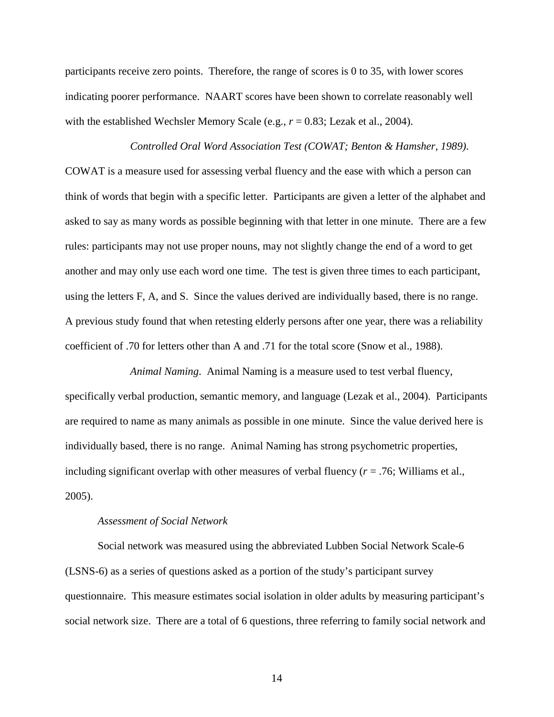participants receive zero points. Therefore, the range of scores is 0 to 35, with lower scores indicating poorer performance. NAART scores have been shown to correlate reasonably well with the established Wechsler Memory Scale (e.g.,  $r = 0.83$ ; Lezak et al., 2004).

*Controlled Oral Word Association Test (COWAT; Benton & Hamsher, 1989)*. COWAT is a measure used for assessing verbal fluency and the ease with which a person can think of words that begin with a specific letter. Participants are given a letter of the alphabet and asked to say as many words as possible beginning with that letter in one minute. There are a few rules: participants may not use proper nouns, may not slightly change the end of a word to get another and may only use each word one time. The test is given three times to each participant, using the letters F, A, and S. Since the values derived are individually based, there is no range. A previous study found that when retesting elderly persons after one year, there was a reliability coefficient of .70 for letters other than A and .71 for the total score (Snow et al., 1988).

*Animal Naming*. Animal Naming is a measure used to test verbal fluency, specifically verbal production, semantic memory, and language (Lezak et al., 2004). Participants are required to name as many animals as possible in one minute. Since the value derived here is individually based, there is no range. Animal Naming has strong psychometric properties, including significant overlap with other measures of verbal fluency (*r* = .76; Williams et al., 2005).

#### *Assessment of Social Network*

Social network was measured using the abbreviated Lubben Social Network Scale-6 (LSNS-6) as a series of questions asked as a portion of the study's participant survey questionnaire. This measure estimates social isolation in older adults by measuring participant's social network size. There are a total of 6 questions, three referring to family social network and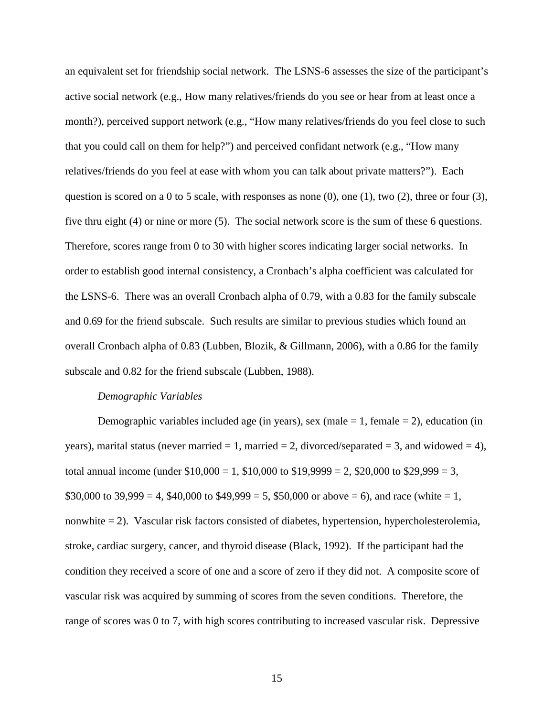an equivalent set for friendship social network. The LSNS-6 assesses the size of the participant's active social network (e.g., How many relatives/friends do you see or hear from at least once a month?), perceived support network (e.g., "How many relatives/friends do you feel close to such that you could call on them for help?") and perceived confidant network (e.g., "How many relatives/friends do you feel at ease with whom you can talk about private matters?"). Each question is scored on a 0 to 5 scale, with responses as none  $(0)$ , one  $(1)$ , two  $(2)$ , three or four  $(3)$ , five thru eight (4) or nine or more (5). The social network score is the sum of these 6 questions. Therefore, scores range from 0 to 30 with higher scores indicating larger social networks. In order to establish good internal consistency, a Cronbach's alpha coefficient was calculated for the LSNS-6. There was an overall Cronbach alpha of 0.79, with a 0.83 for the family subscale and 0.69 for the friend subscale. Such results are similar to previous studies which found an overall Cronbach alpha of 0.83 (Lubben, Blozik, & Gillmann, 2006), with a 0.86 for the family subscale and 0.82 for the friend subscale (Lubben, 1988).

#### *Demographic Variables*

Demographic variables included age (in years), sex (male  $= 1$ , female  $= 2$ ), education (in years), marital status (never married  $= 1$ , married  $= 2$ , divorced/separated  $= 3$ , and widowed  $= 4$ ), total annual income (under  $$10,000 = 1, $10,000$  to  $$19,9999 = 2, $20,000$  to  $$29,999 = 3,$ \$30,000 to 39,999 = 4, \$40,000 to \$49,999 = 5, \$50,000 or above = 6), and race (white = 1, nonwhite = 2). Vascular risk factors consisted of diabetes, hypertension, hypercholesterolemia, stroke, cardiac surgery, cancer, and thyroid disease (Black, 1992). If the participant had the condition they received a score of one and a score of zero if they did not. A composite score of vascular risk was acquired by summing of scores from the seven conditions. Therefore, the range of scores was 0 to 7, with high scores contributing to increased vascular risk. Depressive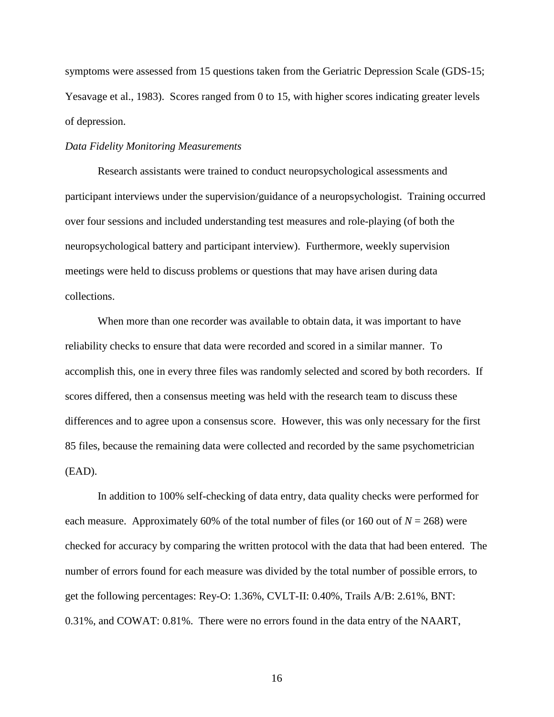symptoms were assessed from 15 questions taken from the Geriatric Depression Scale (GDS-15; Yesavage et al., 1983). Scores ranged from 0 to 15, with higher scores indicating greater levels of depression.

## *Data Fidelity Monitoring Measurements*

Research assistants were trained to conduct neuropsychological assessments and participant interviews under the supervision/guidance of a neuropsychologist. Training occurred over four sessions and included understanding test measures and role-playing (of both the neuropsychological battery and participant interview). Furthermore, weekly supervision meetings were held to discuss problems or questions that may have arisen during data collections.

When more than one recorder was available to obtain data, it was important to have reliability checks to ensure that data were recorded and scored in a similar manner. To accomplish this, one in every three files was randomly selected and scored by both recorders. If scores differed, then a consensus meeting was held with the research team to discuss these differences and to agree upon a consensus score. However, this was only necessary for the first 85 files, because the remaining data were collected and recorded by the same psychometrician (EAD).

In addition to 100% self-checking of data entry, data quality checks were performed for each measure. Approximately 60% of the total number of files (or 160 out of  $N = 268$ ) were checked for accuracy by comparing the written protocol with the data that had been entered. The number of errors found for each measure was divided by the total number of possible errors, to get the following percentages: Rey-O: 1.36%, CVLT-II: 0.40%, Trails A/B: 2.61%, BNT: 0.31%, and COWAT: 0.81%. There were no errors found in the data entry of the NAART,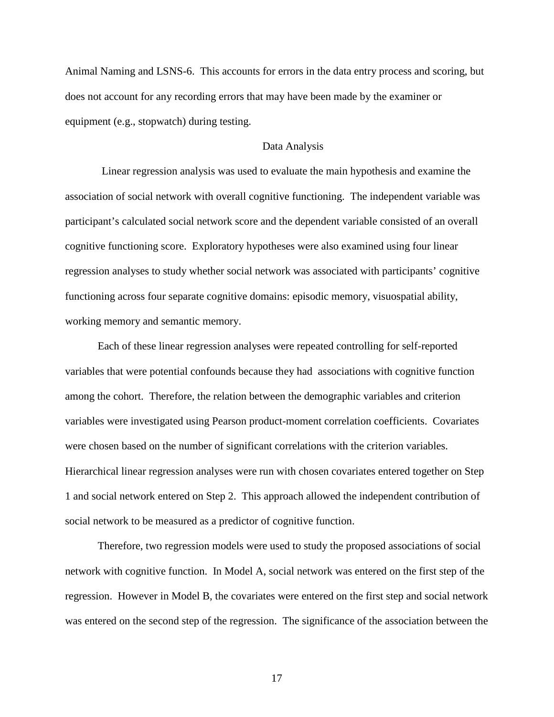Animal Naming and LSNS-6. This accounts for errors in the data entry process and scoring, but does not account for any recording errors that may have been made by the examiner or equipment (e.g., stopwatch) during testing.

#### Data Analysis

Linear regression analysis was used to evaluate the main hypothesis and examine the association of social network with overall cognitive functioning. The independent variable was participant's calculated social network score and the dependent variable consisted of an overall cognitive functioning score. Exploratory hypotheses were also examined using four linear regression analyses to study whether social network was associated with participants' cognitive functioning across four separate cognitive domains: episodic memory, visuospatial ability, working memory and semantic memory.

Each of these linear regression analyses were repeated controlling for self-reported variables that were potential confounds because they had associations with cognitive function among the cohort. Therefore, the relation between the demographic variables and criterion variables were investigated using Pearson product-moment correlation coefficients. Covariates were chosen based on the number of significant correlations with the criterion variables. Hierarchical linear regression analyses were run with chosen covariates entered together on Step 1 and social network entered on Step 2. This approach allowed the independent contribution of social network to be measured as a predictor of cognitive function.

Therefore, two regression models were used to study the proposed associations of social network with cognitive function. In Model A, social network was entered on the first step of the regression. However in Model B, the covariates were entered on the first step and social network was entered on the second step of the regression. The significance of the association between the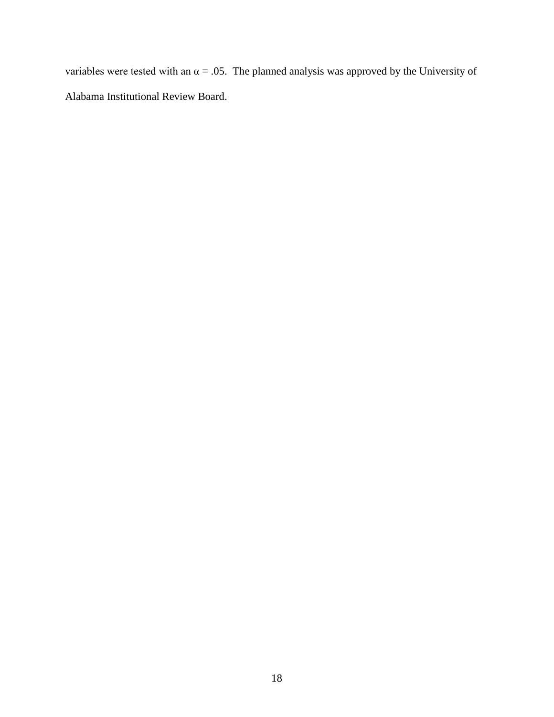variables were tested with an  $\alpha = .05$ . The planned analysis was approved by the University of Alabama Institutional Review Board.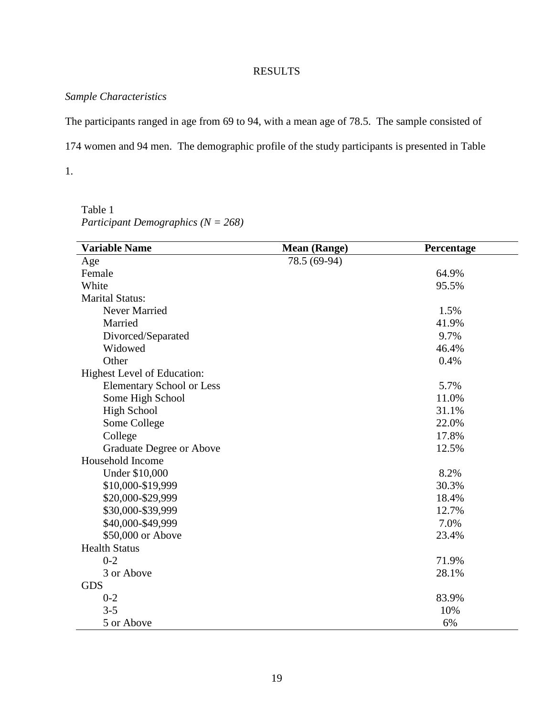## RESULTS

## *Sample Characteristics*

The participants ranged in age from 69 to 94, with a mean age of 78.5. The sample consisted of

174 women and 94 men. The demographic profile of the study participants is presented in Table

1.

Table 1 *Participant Demographics (N = 268)*

| <b>Variable Name</b>             | <b>Mean (Range)</b> | Percentage |
|----------------------------------|---------------------|------------|
| Age                              | 78.5 (69-94)        |            |
| Female                           |                     | 64.9%      |
| White                            |                     | 95.5%      |
| <b>Marital Status:</b>           |                     |            |
| Never Married                    |                     | 1.5%       |
| Married                          |                     | 41.9%      |
| Divorced/Separated               |                     | 9.7%       |
| Widowed                          |                     | 46.4%      |
| Other                            |                     | 0.4%       |
| Highest Level of Education:      |                     |            |
| <b>Elementary School or Less</b> |                     | 5.7%       |
| Some High School                 |                     | 11.0%      |
| <b>High School</b>               |                     | 31.1%      |
| Some College                     |                     | 22.0%      |
| College                          |                     | 17.8%      |
| Graduate Degree or Above         |                     | 12.5%      |
| Household Income                 |                     |            |
| Under \$10,000                   |                     | 8.2%       |
| \$10,000-\$19,999                |                     | 30.3%      |
| \$20,000-\$29,999                |                     | 18.4%      |
| \$30,000-\$39,999                |                     | 12.7%      |
| \$40,000-\$49,999                |                     | 7.0%       |
| \$50,000 or Above                |                     | 23.4%      |
| <b>Health Status</b>             |                     |            |
| $0 - 2$                          |                     | 71.9%      |
| 3 or Above                       |                     | 28.1%      |
| <b>GDS</b>                       |                     |            |
| $0 - 2$                          |                     | 83.9%      |
| $3 - 5$                          |                     | 10%        |
| 5 or Above                       |                     | 6%         |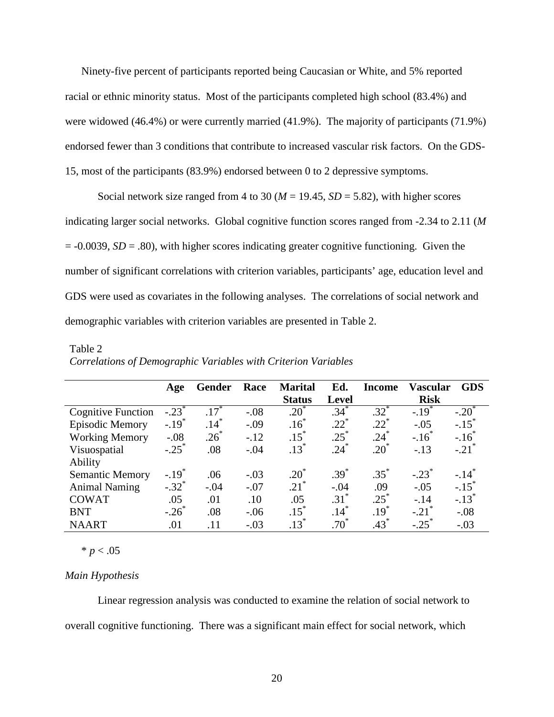Ninety-five percent of participants reported being Caucasian or White, and 5% reported racial or ethnic minority status. Most of the participants completed high school (83.4%) and were widowed (46.4%) or were currently married (41.9%). The majority of participants (71.9%) endorsed fewer than 3 conditions that contribute to increased vascular risk factors. On the GDS-15, most of the participants (83.9%) endorsed between 0 to 2 depressive symptoms.

Social network size ranged from 4 to 30 ( $M = 19.45$ ,  $SD = 5.82$ ), with higher scores indicating larger social networks. Global cognitive function scores ranged from -2.34 to 2.11 (*M* = -0.0039, *SD* = .80), with higher scores indicating greater cognitive functioning. Given the number of significant correlations with criterion variables, participants' age, education level and GDS were used as covariates in the following analyses. The correlations of social network and demographic variables with criterion variables are presented in Table 2.

|                           | Age                 | Gender             | Race    | <b>Marital</b>     | Ed.          | Income    | Vascular            | <b>GDS</b>          |
|---------------------------|---------------------|--------------------|---------|--------------------|--------------|-----------|---------------------|---------------------|
|                           |                     |                    |         | <b>Status</b>      | <b>Level</b> |           | <b>Risk</b>         |                     |
| <b>Cognitive Function</b> | $-.23$ <sup>*</sup> | $.17$ <sup>*</sup> | $-.08$  | $\overline{.20}^*$ | $.34*$       | $.32^{*}$ | $-.19$ <sup>*</sup> | $-.20^{\degree}$    |
| <b>Episodic Memory</b>    | $-.19*$             | $.14*$             | $-.09$  | $.16^*$            | $.22^{*}$    | $.22*$    | $-.05$              | $-.15$ <sup>*</sup> |
| <b>Working Memory</b>     | $-.08$              | $.26*$             | $-12$   | $.15*$             | $.25*$       | $.24*$    | $-.16^*$            | $-.16*$             |
| Visuospatial              | $-.25$ <sup>*</sup> | .08                | $-.04$  | $.13*$             | $.24$ $*$    | $.20^*$   | $-.13$              | $-.21$ <sup>*</sup> |
| Ability                   |                     |                    |         |                    |              |           |                     |                     |
| <b>Semantic Memory</b>    | $-.19*$             | .06                | $-.03$  | $.20^*$            | $.39*$       | $.35^{*}$ | $-.23$ <sup>*</sup> | $-.14$ <sup>*</sup> |
| <b>Animal Naming</b>      | $-.32$ <sup>*</sup> | $-.04$             | $-.07$  | $.21$ <sup>*</sup> | $-.04$       | .09       | $-.05$              | $-.15$ <sup>*</sup> |
| <b>COWAT</b>              | .05                 | .01                | .10     | .05                | $.31*$       | $.25*$    | $-14$               | $-.13$ <sup>*</sup> |
| <b>BNT</b>                | $-.26$              | .08                | $-0.06$ | $.15$ <sup>*</sup> | $.14*$       | $.19*$    | $-.21$ <sup>*</sup> | $-.08$              |
| <b>NAART</b>              | .01                 | .11                | $-.03$  | $.13*$             | $.70^\circ$  | $.43*$    | $-.25$ <sup>*</sup> | $-.03$              |

Table 2 *Correlations of Demographic Variables with Criterion Variables* 

 $* p < .05$ 

## *Main Hypothesis*

Linear regression analysis was conducted to examine the relation of social network to overall cognitive functioning. There was a significant main effect for social network, which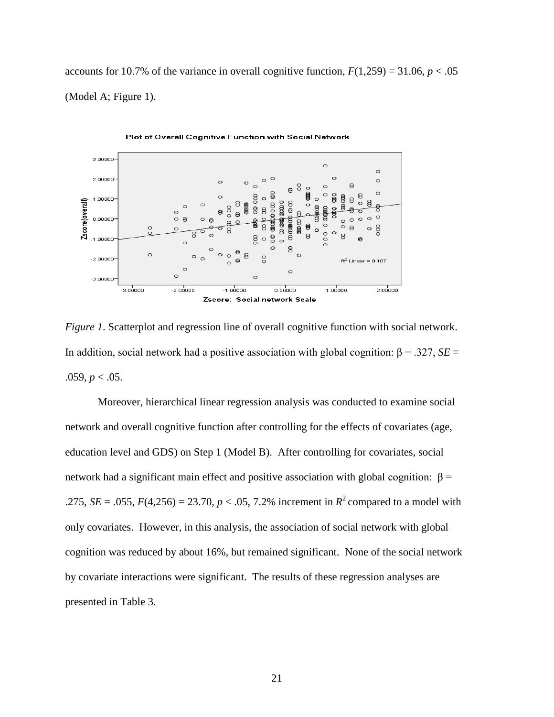accounts for 10.7% of the variance in overall cognitive function,  $F(1,259) = 31.06$ ,  $p < .05$ (Model A; Figure 1).



*Figure 1*. Scatterplot and regression line of overall cognitive function with social network. In addition, social network had a positive association with global cognition:  $β = .327, SE =$ .059,  $p < .05$ .

Moreover, hierarchical linear regression analysis was conducted to examine social network and overall cognitive function after controlling for the effects of covariates (age, education level and GDS) on Step 1 (Model B). After controlling for covariates, social network had a significant main effect and positive association with global cognition:  $β =$ .275, *SE* = .055, *F*(4,256) = 23.70, *p* < .05, 7.2% increment in  $R^2$  compared to a model with only covariates. However, in this analysis, the association of social network with global cognition was reduced by about 16%, but remained significant. None of the social network by covariate interactions were significant. The results of these regression analyses are presented in Table 3.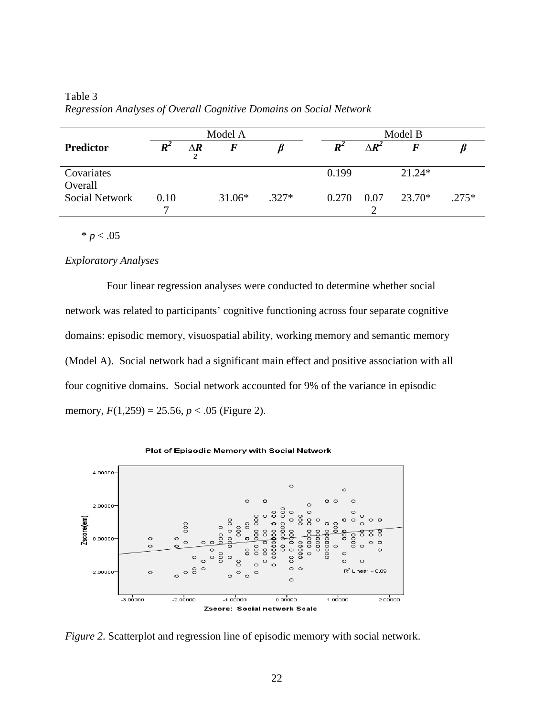| Model A               |                    |            | Model B  |         |                     |              |          |         |
|-----------------------|--------------------|------------|----------|---------|---------------------|--------------|----------|---------|
| <b>Predictor</b>      | $\boldsymbol{R}^2$ | $\Delta R$ | $\bm{F}$ |         | $\bm{R}^{\text{z}}$ | $\Delta R^2$ |          |         |
| Covariates<br>Overall |                    |            |          |         | 0.199               |              | $21.24*$ |         |
| <b>Social Network</b> | 0.10<br>⇁          |            | $31.06*$ | $.327*$ | 0.270               | 0.07         | 23.70*   | $.275*$ |

Table 3 *Regression Analyses of Overall Cognitive Domains on Social Network*

 $* p < .05$ 

## *Exploratory Analyses*

Four linear regression analyses were conducted to determine whether social network was related to participants' cognitive functioning across four separate cognitive domains: episodic memory, visuospatial ability, working memory and semantic memory (Model A). Social network had a significant main effect and positive association with all four cognitive domains. Social network accounted for 9% of the variance in episodic memory,  $F(1,259) = 25.56$ ,  $p < .05$  (Figure 2).



Plot of Episodic Memory with Social Network

*Figure 2*. Scatterplot and regression line of episodic memory with social network.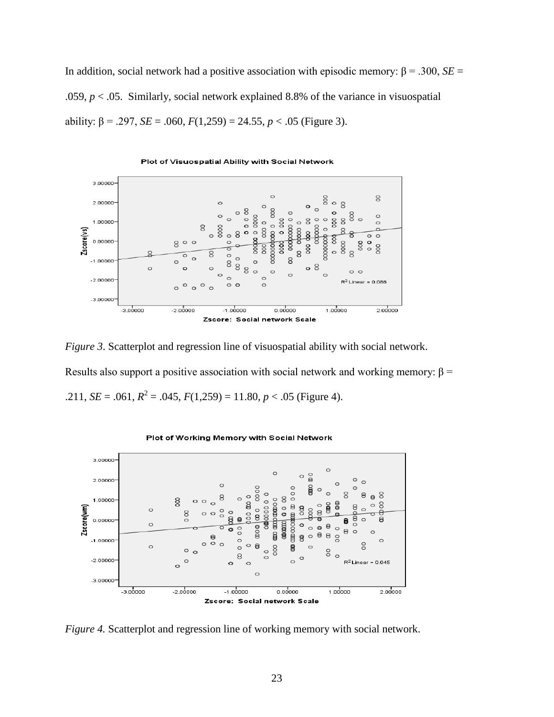In addition, social network had a positive association with episodic memory:  $β = .300$ ,  $SE =$ .059, *p* < .05. Similarly, social network explained 8.8% of the variance in visuospatial ability:  $\beta$  = .297, *SE* = .060, *F*(1,259) = 24.55, *p* < .05 (Figure 3).



*Figure 3.* Scatterplot and regression line of visuospatial ability with social network. Results also support a positive association with social network and working memory:  $\beta$  = .211, *SE* = .061,  $R^2$  = .045,  $F(1,259)$  = 11.80,  $p < .05$  (Figure 4).



Plot of Working Memory with Social Network

*Figure 4.* Scatterplot and regression line of working memory with social network.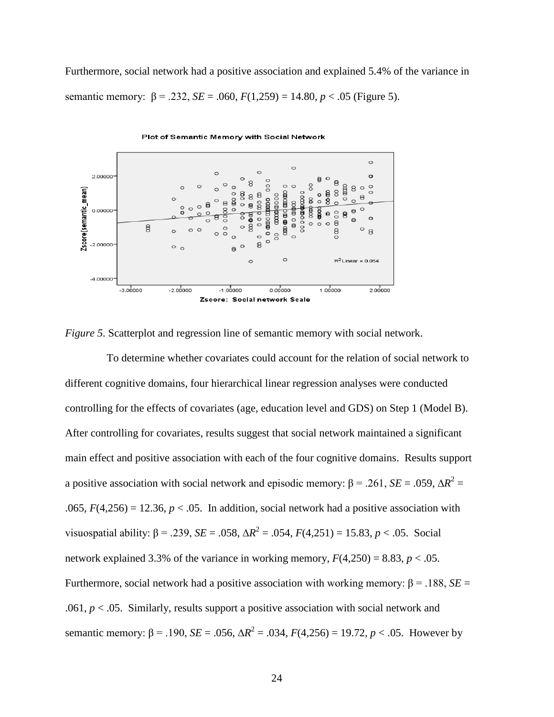Furthermore, social network had a positive association and explained 5.4% of the variance in semantic memory:  $\beta = .232$ ,  $SE = .060$ ,  $F(1,259) = 14.80$ ,  $p < .05$  (Figure 5).



*Figure 5*. Scatterplot and regression line of semantic memory with social network.

To determine whether covariates could account for the relation of social network to different cognitive domains, four hierarchical linear regression analyses were conducted controlling for the effects of covariates (age, education level and GDS) on Step 1 (Model B). After controlling for covariates, results suggest that social network maintained a significant main effect and positive association with each of the four cognitive domains. Results support a positive association with social network and episodic memory:  $\beta$  = .261, *SE* = .059,  $\Delta R^2$  = .065,  $F(4,256) = 12.36$ ,  $p < .05$ . In addition, social network had a positive association with visuospatial ability:  $β = .239$ ,  $SE = .058$ ,  $ΔR^2 = .054$ ,  $F(4,251) = 15.83$ ,  $p < .05$ . Social network explained 3.3% of the variance in working memory,  $F(4,250) = 8.83$ ,  $p < .05$ . Furthermore, social network had a positive association with working memory: β = .188, *SE* = .061, *p* < .05. Similarly, results support a positive association with social network and semantic memory:  $β = .190$ ,  $SE = .056$ ,  $ΔR^2 = .034$ ,  $F(4,256) = 19.72$ ,  $p < .05$ . However by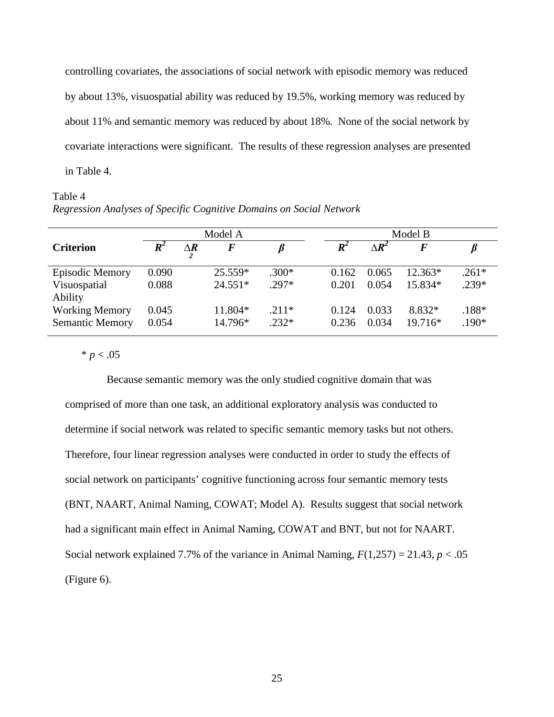controlling covariates, the associations of social network with episodic memory was reduced by about 13%, visuospatial ability was reduced by 19.5%, working memory was reduced by about 11% and semantic memory was reduced by about 18%. None of the social network by covariate interactions were significant. The results of these regression analyses are presented in Table 4.

### Table 4

*Regression Analyses of Specific Cognitive Domains on Social Network*

|                                                 | Model A            |                 |                    | Model B            |                    |                   |                   |                    |
|-------------------------------------------------|--------------------|-----------------|--------------------|--------------------|--------------------|-------------------|-------------------|--------------------|
| <b>Criterion</b>                                | $\boldsymbol{R}^2$ | $\Delta \bm{R}$ | $\bm{F}$           |                    | $\boldsymbol{R}^2$ | $\Delta \bm{R}^2$ | $\bm{F}$          |                    |
| <b>Episodic Memory</b>                          | 0.090              |                 | 25.559*            | $.300*$            | 0.162              | 0.065             | $12.363*$         | $.261*$            |
| Visuospatial<br>Ability                         | 0.088              |                 | $24.551*$          | $.297*$            | 0.201              | 0.054             | 15.834*           | $.239*$            |
| <b>Working Memory</b><br><b>Semantic Memory</b> | 0.045<br>0.054     |                 | 11.804*<br>14.796* | $.211*$<br>$.232*$ | 0.124<br>0.236     | 0.033<br>0.034    | 8.832*<br>19.716* | $.188*$<br>$.190*$ |

 $* p < .05$ 

Because semantic memory was the only studied cognitive domain that was comprised of more than one task, an additional exploratory analysis was conducted to determine if social network was related to specific semantic memory tasks but not others. Therefore, four linear regression analyses were conducted in order to study the effects of social network on participants' cognitive functioning across four semantic memory tests (BNT, NAART, Animal Naming, COWAT; Model A). Results suggest that social network had a significant main effect in Animal Naming, COWAT and BNT, but not for NAART. Social network explained 7.7% of the variance in Animal Naming,  $F(1,257) = 21.43$ ,  $p < .05$ (Figure 6).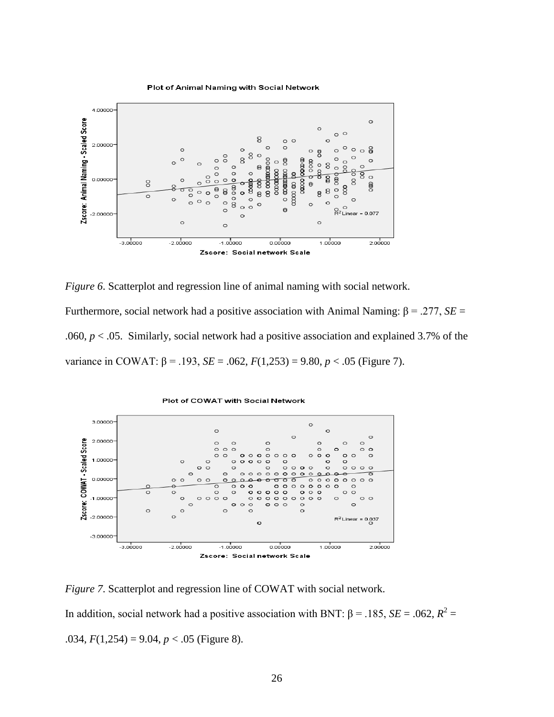

*Figure 6*. Scatterplot and regression line of animal naming with social network.

Furthermore, social network had a positive association with Animal Naming: β = .277, *SE* = .060, *p* < .05. Similarly, social network had a positive association and explained 3.7% of the variance in COWAT:  $β = .193$ ,  $SE = .062$ ,  $F(1,253) = 9.80$ ,  $p < .05$  (Figure 7).



*Figure 7*. Scatterplot and regression line of COWAT with social network.

In addition, social network had a positive association with BNT:  $\beta$  = .185, *SE* = .062,  $R^2$  = .034,  $F(1,254) = 9.04$ ,  $p < .05$  (Figure 8).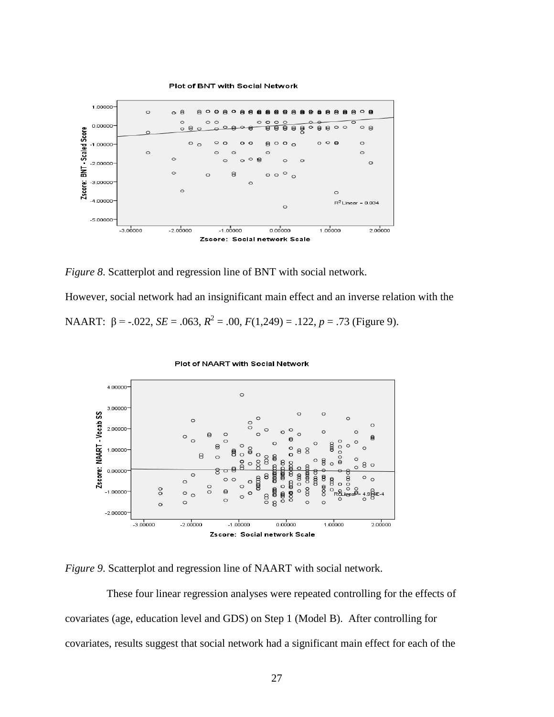

*Figure 8*. Scatterplot and regression line of BNT with social network.

However, social network had an insignificant main effect and an inverse relation with the

NAART:  $\beta$  = -.022, *SE* = .063,  $R^2$  = .00,  $F(1,249)$  = .122,  $p = .73$  (Figure 9).



*Figure 9*. Scatterplot and regression line of NAART with social network.

These four linear regression analyses were repeated controlling for the effects of covariates (age, education level and GDS) on Step 1 (Model B). After controlling for covariates, results suggest that social network had a significant main effect for each of the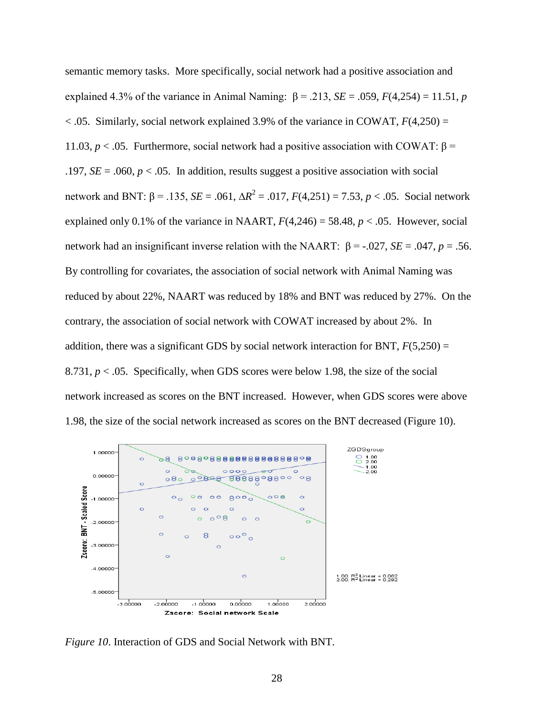semantic memory tasks. More specifically, social network had a positive association and explained 4.3% of the variance in Animal Naming:  $β = .213$ ,  $SE = .059$ ,  $F(4,254) = 11.51$ , *p*  $<$  0.05. Similarly, social network explained 3.9% of the variance in COWAT,  $F(4,250) =$ 11.03,  $p <$  0.05. Furthermore, social network had a positive association with COWAT: β = .197,  $SE = .060$ ,  $p < .05$ . In addition, results suggest a positive association with social network and BNT: β = .135, *SE* = .061, ∆*R*<sup>2</sup> = .017, *F*(4,251) = 7.53, *p* < .05. Social network explained only 0.1% of the variance in NAART,  $F(4,246) = 58.48$ ,  $p < .05$ . However, social network had an insignificant inverse relation with the NAART:  $β = .027$ ,  $SE = .047$ ,  $p = .56$ . By controlling for covariates, the association of social network with Animal Naming was reduced by about 22%, NAART was reduced by 18% and BNT was reduced by 27%. On the contrary, the association of social network with COWAT increased by about 2%. In addition, there was a significant GDS by social network interaction for BNT,  $F(5,250) =$ 8.731,  $p < .05$ . Specifically, when GDS scores were below 1.98, the size of the social network increased as scores on the BNT increased. However, when GDS scores were above 1.98, the size of the social network increased as scores on the BNT decreased (Figure 10).



*Figure 10*. Interaction of GDS and Social Network with BNT.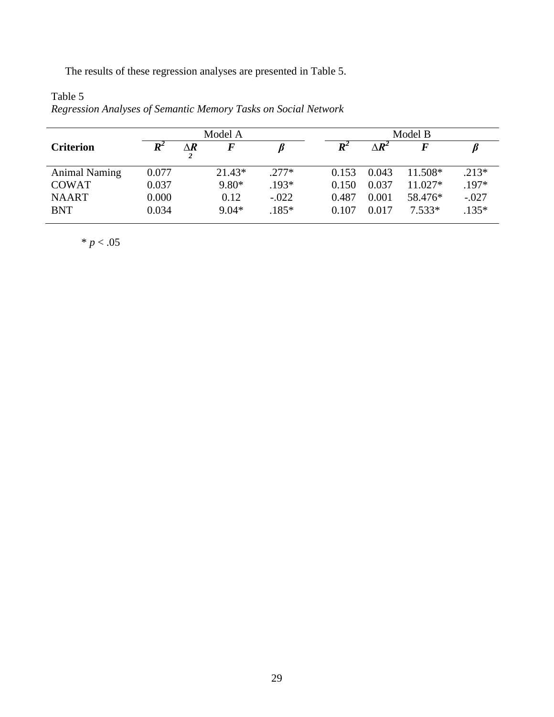The results of these regression analyses are presented in Table 5.

| Model A              |                    |                 | Model B  |         |                |                            |           |         |
|----------------------|--------------------|-----------------|----------|---------|----------------|----------------------------|-----------|---------|
| <b>Criterion</b>     | $\boldsymbol{R}^2$ | $\Delta \bm{R}$ | $\bm{F}$ |         | $\mathbb{R}^2$ | $\Delta \bm{R}^{\text{z}}$ |           |         |
| <b>Animal Naming</b> | 0.077              |                 | $21.43*$ | $.277*$ | 0.153          | 0.043                      | 11.508*   | $.213*$ |
| <b>COWAT</b>         | 0.037              |                 | $9.80*$  | .193*   | 0.150          | 0.037                      | $11.027*$ | .197*   |
| <b>NAART</b>         | 0.000              |                 | 0.12     | $-.022$ | 0.487          | 0.001                      | 58.476*   | $-.027$ |
| <b>BNT</b>           | 0.034              |                 | $9.04*$  | $.185*$ | 0.107          | 0.017                      | $7.533*$  | $.135*$ |

Table 5 *Regression Analyses of Semantic Memory Tasks on Social Network*

 $* p < .05$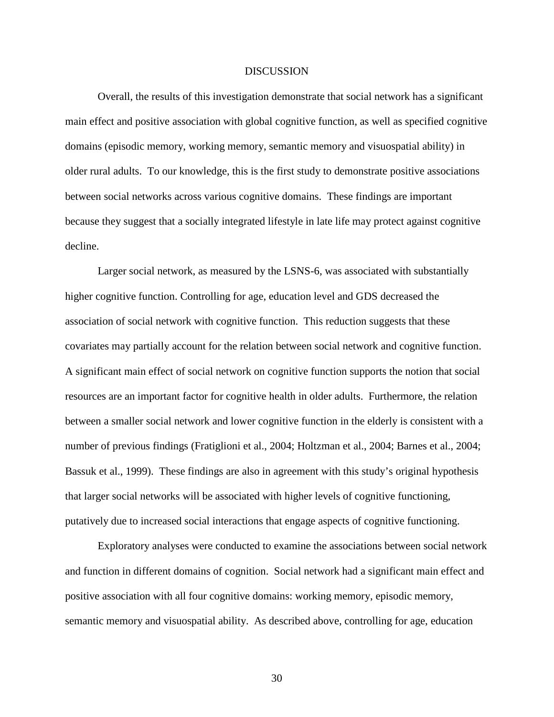#### DISCUSSION

Overall, the results of this investigation demonstrate that social network has a significant main effect and positive association with global cognitive function, as well as specified cognitive domains (episodic memory, working memory, semantic memory and visuospatial ability) in older rural adults. To our knowledge, this is the first study to demonstrate positive associations between social networks across various cognitive domains. These findings are important because they suggest that a socially integrated lifestyle in late life may protect against cognitive decline.

Larger social network, as measured by the LSNS-6, was associated with substantially higher cognitive function. Controlling for age, education level and GDS decreased the association of social network with cognitive function. This reduction suggests that these covariates may partially account for the relation between social network and cognitive function. A significant main effect of social network on cognitive function supports the notion that social resources are an important factor for cognitive health in older adults. Furthermore, the relation between a smaller social network and lower cognitive function in the elderly is consistent with a number of previous findings (Fratiglioni et al., 2004; Holtzman et al., 2004; Barnes et al., 2004; Bassuk et al., 1999). These findings are also in agreement with this study's original hypothesis that larger social networks will be associated with higher levels of cognitive functioning, putatively due to increased social interactions that engage aspects of cognitive functioning.

Exploratory analyses were conducted to examine the associations between social network and function in different domains of cognition. Social network had a significant main effect and positive association with all four cognitive domains: working memory, episodic memory, semantic memory and visuospatial ability. As described above, controlling for age, education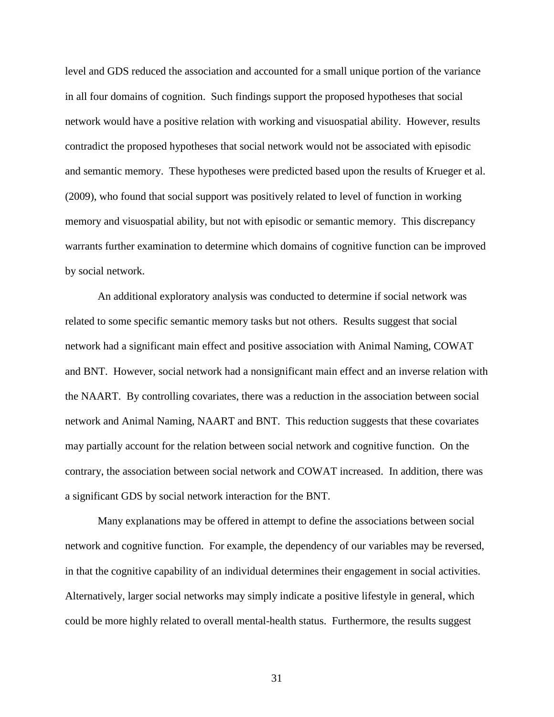level and GDS reduced the association and accounted for a small unique portion of the variance in all four domains of cognition. Such findings support the proposed hypotheses that social network would have a positive relation with working and visuospatial ability. However, results contradict the proposed hypotheses that social network would not be associated with episodic and semantic memory. These hypotheses were predicted based upon the results of Krueger et al. (2009), who found that social support was positively related to level of function in working memory and visuospatial ability, but not with episodic or semantic memory. This discrepancy warrants further examination to determine which domains of cognitive function can be improved by social network.

An additional exploratory analysis was conducted to determine if social network was related to some specific semantic memory tasks but not others. Results suggest that social network had a significant main effect and positive association with Animal Naming, COWAT and BNT. However, social network had a nonsignificant main effect and an inverse relation with the NAART. By controlling covariates, there was a reduction in the association between social network and Animal Naming, NAART and BNT. This reduction suggests that these covariates may partially account for the relation between social network and cognitive function. On the contrary, the association between social network and COWAT increased. In addition, there was a significant GDS by social network interaction for the BNT.

Many explanations may be offered in attempt to define the associations between social network and cognitive function. For example, the dependency of our variables may be reversed, in that the cognitive capability of an individual determines their engagement in social activities. Alternatively, larger social networks may simply indicate a positive lifestyle in general, which could be more highly related to overall mental-health status. Furthermore, the results suggest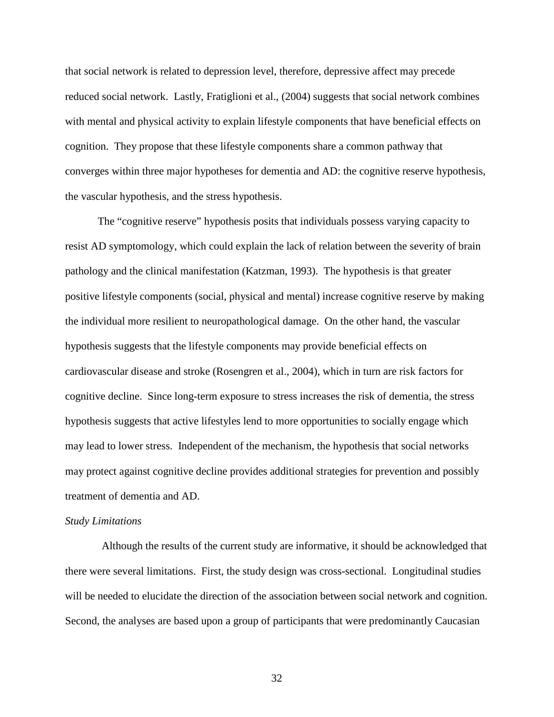that social network is related to depression level, therefore, depressive affect may precede reduced social network. Lastly, Fratiglioni et al., (2004) suggests that social network combines with mental and physical activity to explain lifestyle components that have beneficial effects on cognition. They propose that these lifestyle components share a common pathway that converges within three major hypotheses for dementia and AD: the cognitive reserve hypothesis, the vascular hypothesis, and the stress hypothesis.

The "cognitive reserve" hypothesis posits that individuals possess varying capacity to resist AD symptomology, which could explain the lack of relation between the severity of brain pathology and the clinical manifestation (Katzman, 1993). The hypothesis is that greater positive lifestyle components (social, physical and mental) increase cognitive reserve by making the individual more resilient to neuropathological damage. On the other hand, the vascular hypothesis suggests that the lifestyle components may provide beneficial effects on cardiovascular disease and stroke (Rosengren et al., 2004), which in turn are risk factors for cognitive decline. Since long-term exposure to stress increases the risk of dementia, the stress hypothesis suggests that active lifestyles lend to more opportunities to socially engage which may lead to lower stress. Independent of the mechanism, the hypothesis that social networks may protect against cognitive decline provides additional strategies for prevention and possibly treatment of dementia and AD.

#### *Study Limitations*

Although the results of the current study are informative, it should be acknowledged that there were several limitations. First, the study design was cross-sectional. Longitudinal studies will be needed to elucidate the direction of the association between social network and cognition. Second, the analyses are based upon a group of participants that were predominantly Caucasian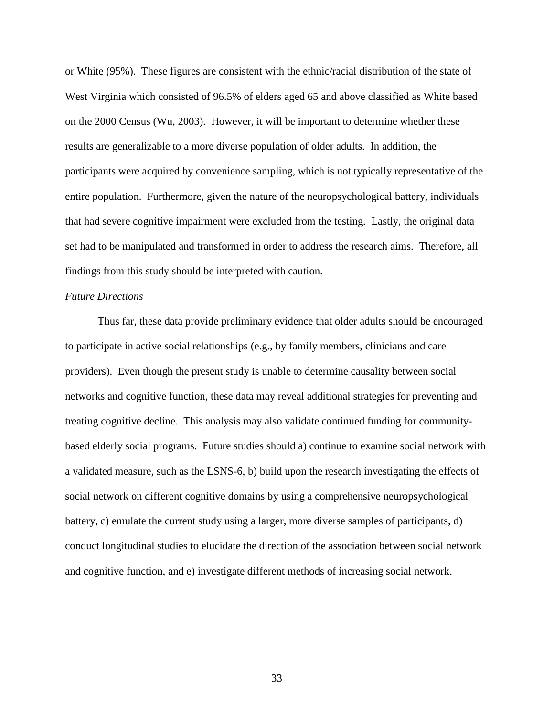or White (95%). These figures are consistent with the ethnic/racial distribution of the state of West Virginia which consisted of 96.5% of elders aged 65 and above classified as White based on the 2000 Census (Wu, 2003). However, it will be important to determine whether these results are generalizable to a more diverse population of older adults. In addition, the participants were acquired by convenience sampling, which is not typically representative of the entire population. Furthermore, given the nature of the neuropsychological battery, individuals that had severe cognitive impairment were excluded from the testing. Lastly, the original data set had to be manipulated and transformed in order to address the research aims. Therefore, all findings from this study should be interpreted with caution.

## *Future Directions*

Thus far, these data provide preliminary evidence that older adults should be encouraged to participate in active social relationships (e.g., by family members, clinicians and care providers). Even though the present study is unable to determine causality between social networks and cognitive function, these data may reveal additional strategies for preventing and treating cognitive decline. This analysis may also validate continued funding for communitybased elderly social programs. Future studies should a) continue to examine social network with a validated measure, such as the LSNS-6, b) build upon the research investigating the effects of social network on different cognitive domains by using a comprehensive neuropsychological battery, c) emulate the current study using a larger, more diverse samples of participants, d) conduct longitudinal studies to elucidate the direction of the association between social network and cognitive function, and e) investigate different methods of increasing social network.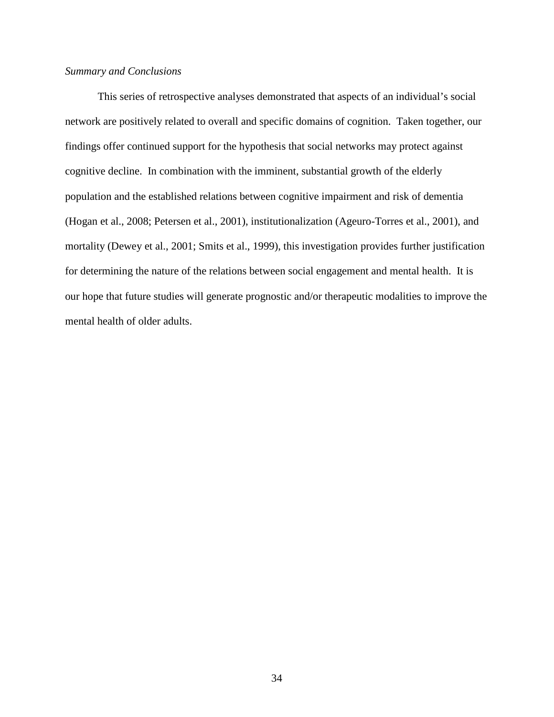## *Summary and Conclusions*

This series of retrospective analyses demonstrated that aspects of an individual's social network are positively related to overall and specific domains of cognition. Taken together, our findings offer continued support for the hypothesis that social networks may protect against cognitive decline. In combination with the imminent, substantial growth of the elderly population and the established relations between cognitive impairment and risk of dementia (Hogan et al., 2008; Petersen et al., 2001), institutionalization (Ageuro-Torres et al., 2001), and mortality (Dewey et al., 2001; Smits et al., 1999), this investigation provides further justification for determining the nature of the relations between social engagement and mental health. It is our hope that future studies will generate prognostic and/or therapeutic modalities to improve the mental health of older adults.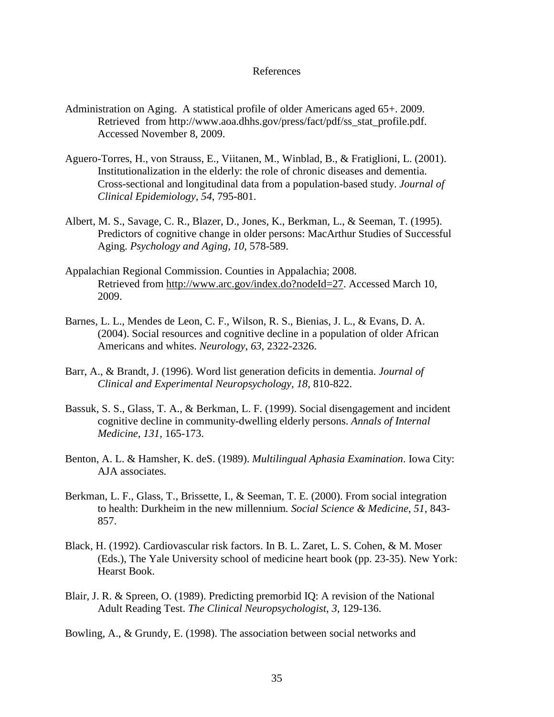#### References

- Administration on Aging. A statistical profile of older Americans aged 65+. 2009. Retrieved from [http://www.aoa.](http://www.aoa/)dhhs.gov/press/fact/pdf/ss\_stat\_profile.pdf. Accessed November 8, 2009.
- Aguero-Torres, H., von Strauss, E., Viitanen, M., Winblad, B., & Fratiglioni, L. (2001). Institutionalization in the elderly: the role of chronic diseases and dementia. Cross-sectional and longitudinal data from a population-based study. *Journal of Clinical Epidemiology, 54*, 795-801.
- Albert, M. S., Savage, C. R., Blazer, D., Jones, K., Berkman, L., & Seeman, T. (1995). Predictors of cognitive change in older persons: MacArthur Studies of Successful Aging. *Psychology and Aging, 10,* 578-589.
- Appalachian Regional Commission. Counties in Appalachia; 2008. Retrieved from [http://www.arc.gov/index.do?nodeId=27.](http://www.arc.gov/index.do?nodeId=27) Accessed March 10, 2009.
- Barnes, L. L., Mendes de Leon, C. F., Wilson, R. S., Bienias, J. L., & Evans, D. A. (2004). Social resources and cognitive decline in a population of older African Americans and whites. *Neurology*, *63*, 2322-2326.
- Barr, A., & Brandt, J. (1996). Word list generation deficits in dementia. *Journal of Clinical and Experimental Neuropsychology, 18*, 810-822.
- Bassuk, S. S., Glass, T. A., & Berkman, L. F. (1999). Social disengagement and incident cognitive decline in community-dwelling elderly persons. *Annals of Internal Medicine, 131,* 165-173.
- Benton, A. L. & Hamsher, K. deS. (1989). *Multilingual Aphasia Examination*. Iowa City: AJA associates.
- Berkman, L. F., Glass, T., Brissette, I., & Seeman, T. E. (2000). From social integration to health: Durkheim in the new millennium*. Social Science & Medicine*, *51*, 843- 857.
- Black, H. (1992). Cardiovascular risk factors. In B. L. Zaret, L. S. Cohen, & M. Moser (Eds.), The Yale University school of medicine heart book (pp. 23-35). New York: Hearst Book.
- Blair, J. R. & Spreen, O. (1989). Predicting premorbid IQ: A revision of the National Adult Reading Test. *The Clinical Neuropsychologist*, *3*, 129-136.

Bowling, A., & Grundy, E. (1998). The association between social networks and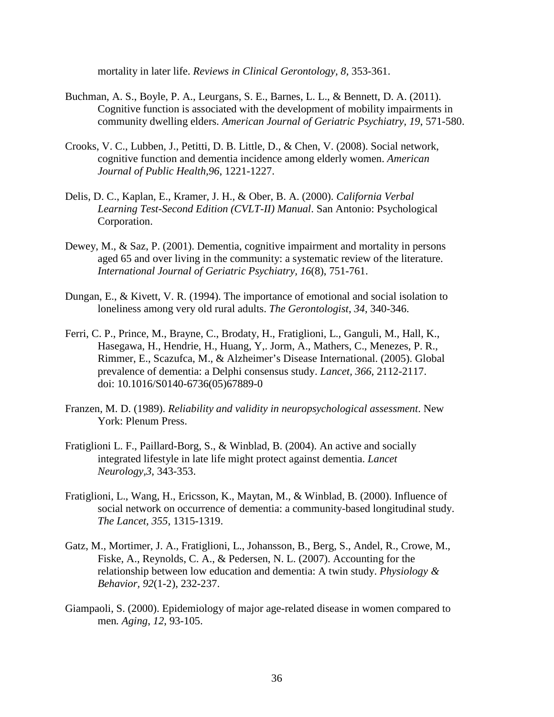mortality in later life. *Reviews in Clinical Gerontology, 8,* 353-361.

- Buchman, A. S., Boyle, P. A., Leurgans, S. E., Barnes, L. L., & Bennett, D. A. (2011). Cognitive function is associated with the development of mobility impairments in community dwelling elders. *American Journal of Geriatric Psychiatry, 19*, 571-580.
- Crooks, V. C., Lubben, J., Petitti, D. B. Little, D., & Chen, V. (2008). Social network, cognitive function and dementia incidence among elderly women. *American Journal of Public Health,96*, 1221-1227.
- Delis, D. C., Kaplan, E., Kramer, J. H., & Ober, B. A. (2000). *California Verbal Learning Test-Second Edition (CVLT-II) Manual*. San Antonio: Psychological Corporation.
- Dewey, M., & Saz, P. (2001). Dementia, cognitive impairment and mortality in persons aged 65 and over living in the community: a systematic review of the literature. *International Journal of Geriatric Psychiatry, 16*(8), 751-761.
- Dungan, E., & Kivett, V. R. (1994). The importance of emotional and social isolation to loneliness among very old rural adults. *The Gerontologist*, *34*, 340-346.
- Ferri, C. P., Prince, M., Brayne, C., Brodaty, H., Fratiglioni, L., Ganguli, M., Hall, K., Hasegawa, H., Hendrie, H., Huang, Y,. Jorm, A., Mathers, C., Menezes, P. R., Rimmer, E., Scazufca, M., & Alzheimer's Disease International. (2005). Global prevalence of dementia: a Delphi consensus study. *Lancet, 366*, 2112-2117. doi: 10.1016/S0140-6736(05)67889-0
- Franzen, M. D. (1989). *Reliability and validity in neuropsychological assessment*. New York: Plenum Press.
- Fratiglioni L. F., Paillard-Borg, S., & Winblad, B. (2004). An active and socially integrated lifestyle in late life might protect against dementia. *Lancet Neurology,3*, 343-353.
- Fratiglioni, L., Wang, H., Ericsson, K., Maytan, M., & Winblad, B. (2000). Influence of social network on occurrence of dementia: a community-based longitudinal study. *The Lancet, 355*, 1315-1319.
- Gatz, M., Mortimer, J. A., Fratiglioni, L., Johansson, B., Berg, S., Andel, R., Crowe, M., Fiske, A., Reynolds, C. A., & Pedersen, N. L. (2007). Accounting for the relationship between low education and dementia: A twin study. *Physiology & Behavior, 92*(1-2), 232-237.
- Giampaoli, S. (2000). Epidemiology of major age-related disease in women compared to men*. Aging*, *12*, 93-105.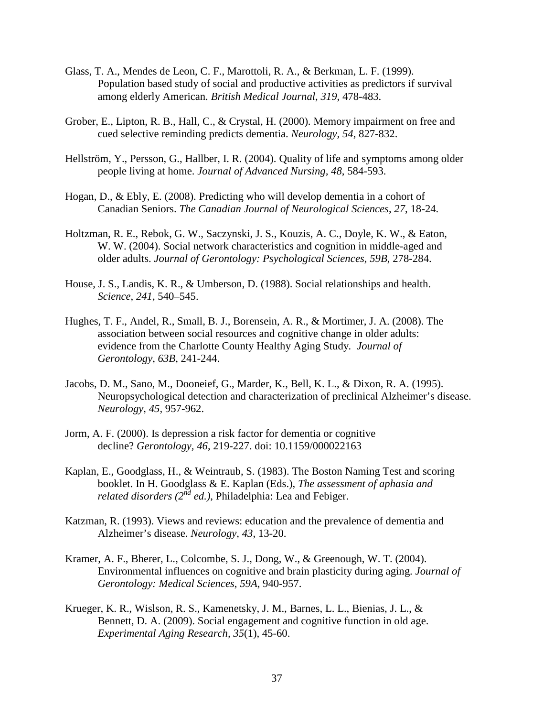- Glass, T. A., Mendes de Leon, C. F., Marottoli, R. A., & Berkman, L. F. (1999). Population based study of social and productive activities as predictors if survival among elderly American. *British Medical Journal*, *319*, 478-483.
- Grober, E., Lipton, R. B., Hall, C., & Crystal, H. (2000). Memory impairment on free and cued selective reminding predicts dementia. *Neurology, 54*, 827-832.
- Hellström, Y., Persson, G., Hallber, I. R. (2004). Quality of life and symptoms among older people living at home. *Journal of Advanced Nursing, 48*, 584-593.
- Hogan, D., & Ebly, E. (2008). Predicting who will develop dementia in a cohort of Canadian Seniors. *The Canadian Journal of Neurological Sciences*, *27*, 18-24.
- Holtzman, R. E., Rebok, G. W., Saczynski, J. S., Kouzis, A. C., Doyle, K. W., & Eaton, W. W. (2004). Social network characteristics and cognition in middle-aged and older adults. *Journal of Gerontology: Psychological Sciences, 59B*, 278-284.
- House, J. S., Landis, K. R., & Umberson, D. (1988). Social relationships and health. *Science*, *241*, 540–545.
- Hughes, T. F., Andel, R., Small, B. J., Borensein, A. R., & Mortimer, J. A. (2008). The association between social resources and cognitive change in older adults: evidence from the Charlotte County Healthy Aging Study*. Journal of Gerontology*, *63B*, 241-244.
- Jacobs, D. M., Sano, M., Dooneief, G., Marder, K., Bell, K. L., & Dixon, R. A. (1995). Neuropsychological detection and characterization of preclinical Alzheimer's disease. *Neurology*, *45,* 957-962.
- Jorm, A. F. (2000). Is depression a risk factor for dementia or cognitive decline? *Gerontology, 46*, 219-227. doi: 10.1159/000022163
- Kaplan, E., Goodglass, H., & Weintraub, S. (1983). The Boston Naming Test and scoring booklet. In H. Goodglass & E. Kaplan (Eds.), *The assessment of aphasia and related disorders (2nd ed.)*, Philadelphia: Lea and Febiger.
- Katzman, R. (1993). Views and reviews: education and the prevalence of dementia and Alzheimer's disease. *Neurology, 43*, 13-20.
- Kramer, A. F., Bherer, L., Colcombe, S. J., Dong, W., & Greenough, W. T. (2004). Environmental influences on cognitive and brain plasticity during aging. *Journal of Gerontology: Medical Sciences*, *59A*, 940-957.
- Krueger, K. R., Wislson, R. S., Kamenetsky, J. M., Barnes, L. L., Bienias, J. L., & Bennett, D. A. (2009). Social engagement and cognitive function in old age. *Experimental Aging Research, 35*(1), 45-60.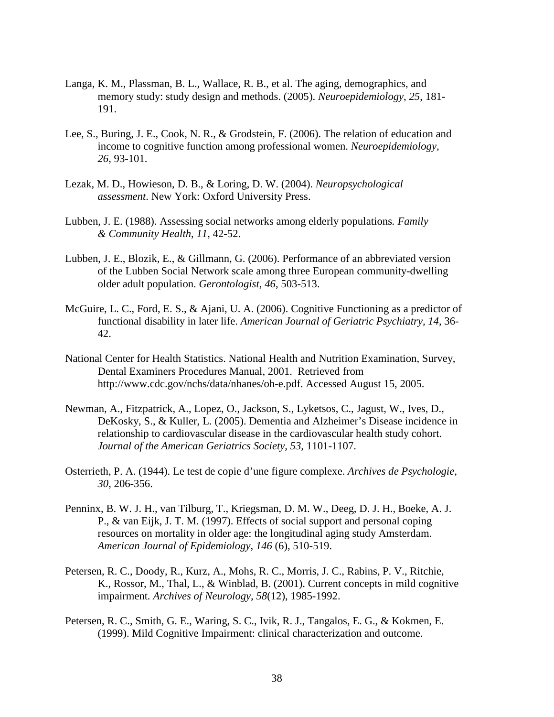- Langa, K. M., Plassman, B. L., Wallace, R. B., et al. The aging, demographics, and memory study: study design and methods. (2005). *Neuroepidemiology*, *25*, 181- 191.
- Lee, S., Buring, J. E., Cook, N. R., & Grodstein, F. (2006). The relation of education and income to cognitive function among professional women. *Neuroepidemiology, 26*, 93-101.
- Lezak, M. D., Howieson, D. B., & Loring, D. W. (2004). *Neuropsychological assessment*. New York: Oxford University Press.
- Lubben, J. E. (1988). Assessing social networks among elderly populations*. Family & Community Health*, *11*, 42-52.
- Lubben, J. E., Blozik, E., & Gillmann, G. (2006). Performance of an abbreviated version of the Lubben Social Network scale among three European community-dwelling older adult population. *Gerontologist*, *46*, 503-513.
- McGuire, L. C., Ford, E. S., & Ajani, U. A. (2006). Cognitive Functioning as a predictor of functional disability in later life. *American Journal of Geriatric Psychiatry, 14*, 36- 42.
- National Center for Health Statistics. National Health and Nutrition Examination, Survey, Dental Examiners Procedures Manual, 2001. Retrieved from http://www.cdc.gov/nchs/data/nhanes/oh-e.pdf. Accessed August 15, 2005.
- Newman, A., Fitzpatrick, A., Lopez, O., Jackson, S., Lyketsos, C., Jagust, W., Ives, D., DeKosky, S., & Kuller, L. (2005). Dementia and Alzheimer's Disease incidence in relationship to cardiovascular disease in the cardiovascular health study cohort. *Journal of the American Geriatrics Society, 53,* 1101-1107.
- Osterrieth, P. A. (1944). Le test de copie d'une figure complexe. *Archives de Psychologie*, *30*, 206-356.
- Penninx, B. W. J. H., van Tilburg, T., Kriegsman, D. M. W., Deeg, D. J. H., Boeke, A. J. P., & van Eijk, J. T. M. (1997). Effects of social support and personal coping resources on mortality in older age: the longitudinal aging study Amsterdam. *American Journal of Epidemiology, 146* (6), 510-519.
- Petersen, R. C., Doody, R., Kurz, A., Mohs, R. C., Morris, J. C., Rabins, P. V., Ritchie, K., Rossor, M., Thal, L., & Winblad, B. (2001). Current concepts in mild cognitive impairment*. Archives of Neurology, 58*(12), 1985-1992.
- Petersen, R. C., Smith, G. E., Waring, S. C., Ivik, R. J., Tangalos, E. G., & Kokmen, E. (1999). Mild Cognitive Impairment: clinical characterization and outcome.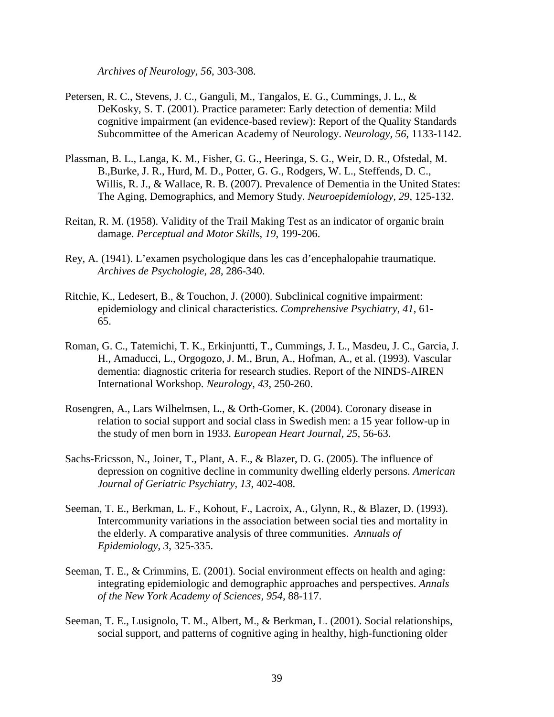*Archives of Neurology, 56*, 303-308.

- Petersen, R. C., Stevens, J. C., Ganguli, M., Tangalos, E. G., Cummings, J. L., & DeKosky, S. T. (2001). Practice parameter: Early detection of dementia: Mild cognitive impairment (an evidence-based review): Report of the Quality Standards Subcommittee of the American Academy of Neurology. *Neurology, 56*, 1133-1142.
- Plassman, B. L., Langa, K. M., Fisher, G. G., Heeringa, S. G., Weir, D. R., Ofstedal, M. B.,Burke, J. R., Hurd, M. D., Potter, G. G., Rodgers, W. L., Steffends, D. C., Willis, R. J., & Wallace, R. B. (2007). Prevalence of Dementia in the United States: The Aging, Demographics, and Memory Study. *Neuroepidemiology, 29*, 125-132.
- Reitan, R. M. (1958). Validity of the Trail Making Test as an indicator of organic brain damage. *Perceptual and Motor Skills*, *19*, 199-206.
- Rey, A. (1941). L'examen psychologique dans les cas d'encephalopahie traumatique. *Archives de Psychologie*, *28*, 286-340.
- Ritchie, K., Ledesert, B., & Touchon, J. (2000). Subclinical cognitive impairment: epidemiology and clinical characteristics. *Comprehensive Psychiatry*, *41*, 61- 65.
- Roman, G. C., Tatemichi, T. K., Erkinjuntti, T., Cummings, J. L., Masdeu, J. C., Garcia, J. H., Amaducci, L., Orgogozo, J. M., Brun, A., Hofman, A., et al. (1993). Vascular dementia: diagnostic criteria for research studies. Report of the NINDS-AIREN International Workshop. *Neurology, 43*, 250-260.
- Rosengren, A., Lars Wilhelmsen, L., & Orth-Gomer, K. (2004). Coronary disease in relation to social support and social class in Swedish men: a 15 year follow-up in the study of men born in 1933. *European Heart Journal, 25,* 56-63.
- Sachs-Ericsson, N., Joiner, T., Plant, A. E., & Blazer, D. G. (2005). The influence of depression on cognitive decline in community dwelling elderly persons. *American Journal of Geriatric Psychiatry, 13*, 402-408.
- Seeman, T. E., Berkman, L. F., Kohout, F., Lacroix, A., Glynn, R., & Blazer, D. (1993). Intercommunity variations in the association between social ties and mortality in the elderly. A comparative analysis of three communities. *Annuals of Epidemiology*, *3*, 325-335.
- Seeman, T. E., & Crimmins, E. (2001). Social environment effects on health and aging: integrating epidemiologic and demographic approaches and perspectives. *Annals of the New York Academy of Sciences, 954,* 88-117.
- Seeman, T. E., Lusignolo, T. M., Albert, M., & Berkman, L. (2001). Social relationships, social support, and patterns of cognitive aging in healthy, high-functioning older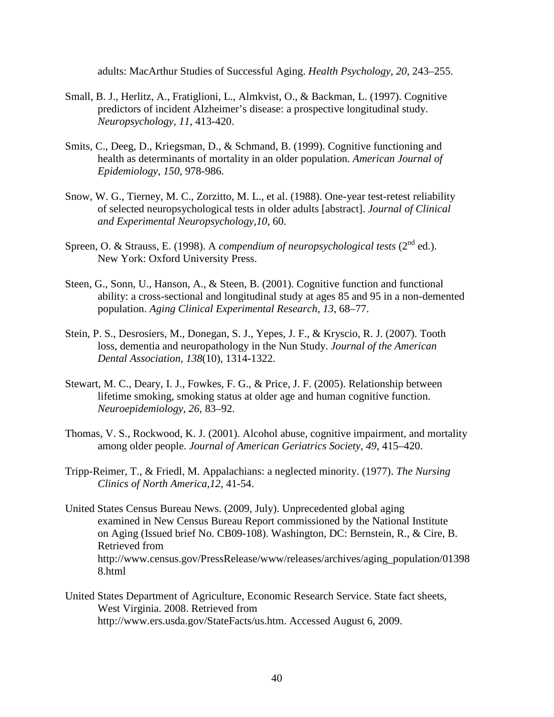adults: MacArthur Studies of Successful Aging. *Health Psychology*, *20*, 243–255.

- Small, B. J., Herlitz, A., Fratiglioni, L., Almkvist, O., & Backman, L. (1997). Cognitive predictors of incident Alzheimer's disease: a prospective longitudinal study. *Neuropsychology, 11*, 413-420.
- Smits, C., Deeg, D., Kriegsman, D., & Schmand, B. (1999). Cognitive functioning and health as determinants of mortality in an older population. *American Journal of Epidemiology*, *150*, 978-986.
- Snow, W. G., Tierney, M. C., Zorzitto, M. L., et al. (1988). One-year test-retest reliability of selected neuropsychological tests in older adults [abstract]. *Journal of Clinical and Experimental Neuropsychology,10*, 60.
- Spreen, O. & Strauss, E. (1998). A *compendium of neuropsychological tests* (2<sup>nd</sup> ed.). New York: Oxford University Press.
- Steen, G., Sonn, U., Hanson, A., & Steen, B. (2001). Cognitive function and functional ability: a cross-sectional and longitudinal study at ages 85 and 95 in a non-demented population. *Aging Clinical Experimental Research, 13*, 68–77.
- Stein, P. S., Desrosiers, M., Donegan, S. J., Yepes, J. F., & Kryscio, R. J. (2007). Tooth loss, dementia and neuropathology in the Nun Study. *Journal of the American Dental Association, 138*(10), 1314-1322.
- Stewart, M. C., Deary, I. J., Fowkes, F. G., & Price, J. F. (2005). Relationship between lifetime smoking, smoking status at older age and human cognitive function. *Neuroepidemiology, 26*, 83–92.
- Thomas, V. S., Rockwood, K. J. (2001). Alcohol abuse, cognitive impairment, and mortality among older people. *Journal of American Geriatrics Society, 49*, 415–420.
- Tripp-Reimer, T., & Friedl, M. Appalachians: a neglected minority. (1977). *The Nursing Clinics of North America,12*, 41-54.
- United States Census Bureau News. (2009, July). Unprecedented global aging examined in New Census Bureau Report commissioned by the National Institute on Aging (Issued brief No. CB09-108). Washington, DC: Bernstein, R., & Cire, B. Retrieved from http://www.census.gov/PressRelease/www/releases/archives/aging\_population/01398 8.html
- United States Department of Agriculture, Economic Research Service. State fact sheets, West Virginia. 2008. Retrieved from [http://www.ers.usda.gov/StateFacts/us.htm.](http://www.ers.usda.gov/StateFacts/us.htm) Accessed August 6, 2009.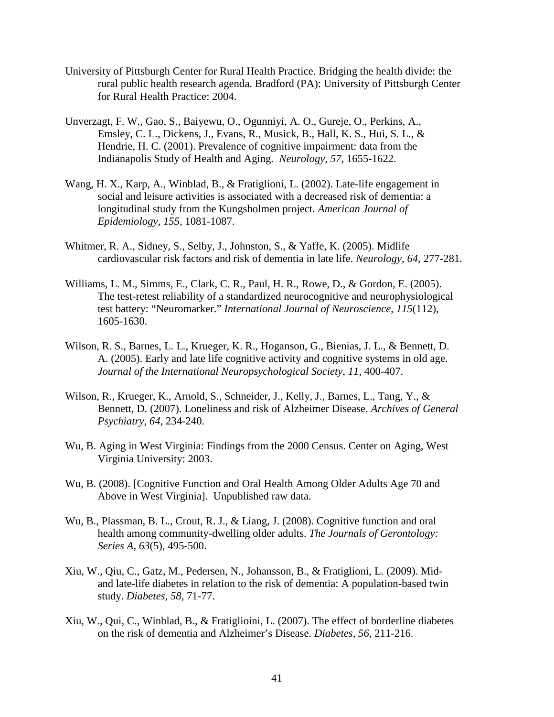- University of Pittsburgh Center for Rural Health Practice. Bridging the health divide: the rural public health research agenda. Bradford (PA): University of Pittsburgh Center for Rural Health Practice: 2004.
- Unverzagt, F. W., Gao, S., Baiyewu, O., Ogunniyi, A. O., Gureje, O., Perkins, A., Emsley, C. L., Dickens, J., Evans, R., Musick, B., Hall, K. S., Hui, S. L., & Hendrie, H. C. (2001). Prevalence of cognitive impairment: data from the Indianapolis Study of Health and Aging. *Neurology, 57*, 1655-1622.
- Wang, H. X., Karp, A., Winblad, B., & Fratiglioni, L. (2002). Late-life engagement in social and leisure activities is associated with a decreased risk of dementia: a longitudinal study from the Kungsholmen project. *American Journal of Epidemiology*, *155*, 1081-1087.
- Whitmer, R. A., Sidney, S., Selby, J., Johnston, S., & Yaffe, K. (2005). Midlife cardiovascular risk factors and risk of dementia in late life. *Neurology*, *64*, 277-281.
- Williams, L. M., Simms, E., Clark, C. R., Paul, H. R., Rowe, D., & Gordon, E. (2005). The test-retest reliability of a standardized neurocognitive and neurophysiological test battery: "Neuromarker." *International Journal of Neuroscience, 115*(112), 1605-1630.
- Wilson, R. S., Barnes, L. L., Krueger, K. R., Hoganson, G., Bienias, J. L., & Bennett, D. A. (2005). Early and late life cognitive activity and cognitive systems in old age. *Journal of the International Neuropsychological Society*, *11*, 400-407.
- Wilson, R., Krueger, K., Arnold, S., Schneider, J., Kelly, J., Barnes, L., Tang, Y., & Bennett, D. (2007). Loneliness and risk of Alzheimer Disease. *Archives of General Psychiatry*, *64*, 234-240.
- Wu, B. Aging in West Virginia: Findings from the 2000 Census. Center on Aging, West Virginia University: 2003.
- Wu, B. (2008). [Cognitive Function and Oral Health Among Older Adults Age 70 and Above in West Virginia]. Unpublished raw data.
- Wu, B., Plassman, B. L., Crout, R. J., & Liang, J. (2008). Cognitive function and oral health among community-dwelling older adults. *The Journals of Gerontology: Series A, 63*(5), 495-500.
- Xiu, W., Qiu, C., Gatz, M., Pedersen, N., Johansson, B., & Fratiglioni, L. (2009). Midand late-life diabetes in relation to the risk of dementia: A population-based twin study. *Diabetes, 58*, 71-77.
- Xiu, W., Qui, C., Winblad, B., & Fratiglioini, L. (2007). The effect of borderline diabetes on the risk of dementia and Alzheimer's Disease. *Diabetes, 56*, 211-216.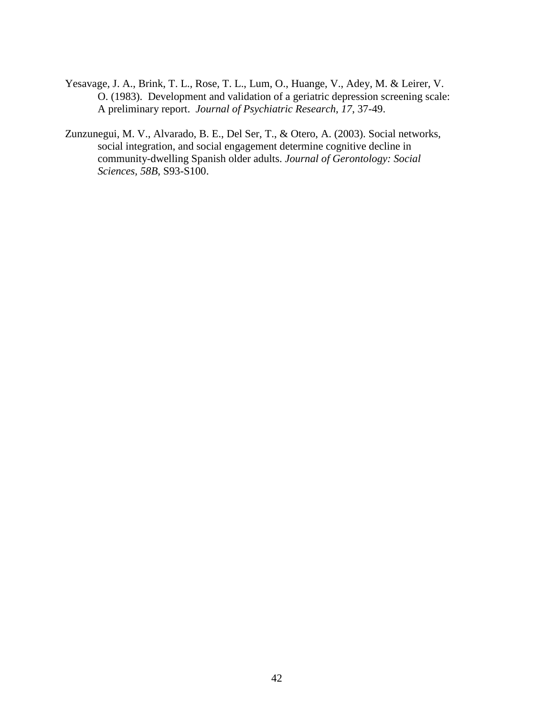- Yesavage, J. A., Brink, T. L., Rose, T. L., Lum, O., Huange, V., Adey, M. & Leirer, V. O. (1983). Development and validation of a geriatric depression screening scale: A preliminary report. *Journal of Psychiatric Research*, *17*, 37-49.
- Zunzunegui, M. V., Alvarado, B. E., Del Ser, T., & Otero, A. (2003). Social networks, social integration, and social engagement determine cognitive decline in community-dwelling Spanish older adults. *Journal of Gerontology: Social Sciences, 58B*, S93-S100.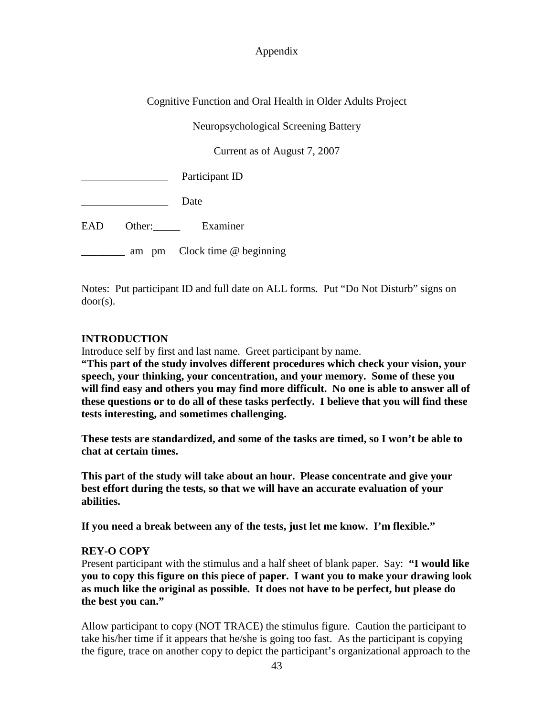## Appendix

Cognitive Function and Oral Health in Older Adults Project

Neuropsychological Screening Battery

Current as of August 7, 2007

Participant ID

Date

EAD Other: Examiner

\_\_\_\_\_\_\_\_\_ am pm Clock time @ beginning

Notes: Put participant ID and full date on ALL forms. Put "Do Not Disturb" signs on door(s).

## **INTRODUCTION**

Introduce self by first and last name. Greet participant by name.

**"This part of the study involves different procedures which check your vision, your speech, your thinking, your concentration, and your memory. Some of these you will find easy and others you may find more difficult. No one is able to answer all of these questions or to do all of these tasks perfectly. I believe that you will find these tests interesting, and sometimes challenging.** 

**These tests are standardized, and some of the tasks are timed, so I won't be able to chat at certain times.** 

**This part of the study will take about an hour. Please concentrate and give your best effort during the tests, so that we will have an accurate evaluation of your abilities.**

**If you need a break between any of the tests, just let me know. I'm flexible."** 

## **REY-O COPY**

Present participant with the stimulus and a half sheet of blank paper. Say: **"I would like you to copy this figure on this piece of paper. I want you to make your drawing look as much like the original as possible. It does not have to be perfect, but please do the best you can."**

Allow participant to copy (NOT TRACE) the stimulus figure. Caution the participant to take his/her time if it appears that he/she is going too fast. As the participant is copying the figure, trace on another copy to depict the participant's organizational approach to the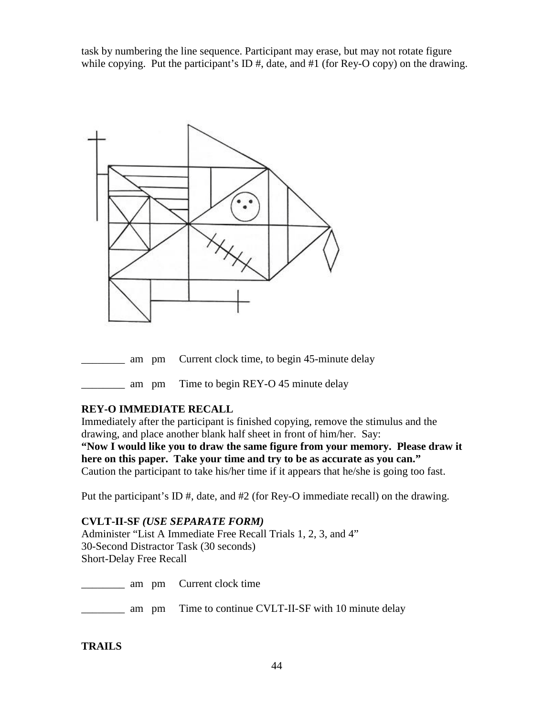task by numbering the line sequence. Participant may erase, but may not rotate figure while copying. Put the participant's ID  $\#$ , date, and  $\#1$  (for Rey-O copy) on the drawing.



am pm Time to begin REY-O 45 minute delay

## **REY-O IMMEDIATE RECALL**

Immediately after the participant is finished copying, remove the stimulus and the drawing, and place another blank half sheet in front of him/her. Say:

**"Now I would like you to draw the same figure from your memory. Please draw it here on this paper. Take your time and try to be as accurate as you can."** Caution the participant to take his/her time if it appears that he/she is going too fast.

Put the participant's ID #, date, and #2 (for Rey-O immediate recall) on the drawing.

## **CVLT-II-SF** *(USE SEPARATE FORM)*

Administer "List A Immediate Free Recall Trials 1, 2, 3, and 4" 30-Second Distractor Task (30 seconds) Short-Delay Free Recall

**Example 1** am pm Current clock time

**EXECUT** am pm Time to continue CVLT-II-SF with 10 minute delay

## **TRAILS**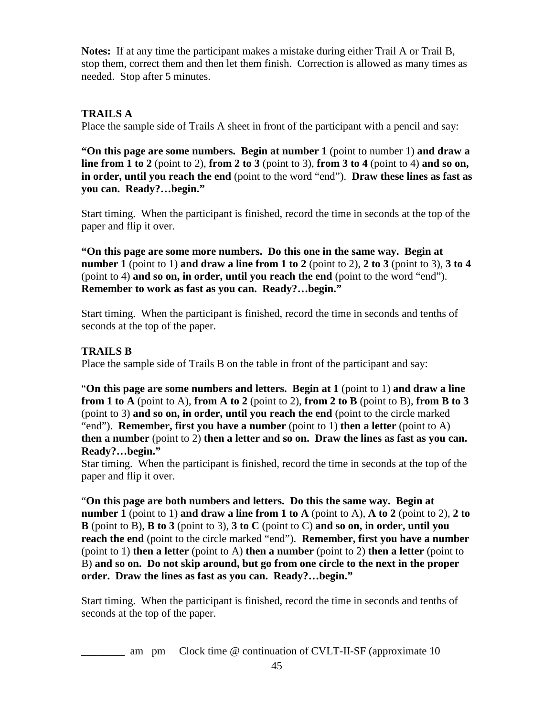**Notes:** If at any time the participant makes a mistake during either Trail A or Trail B, stop them, correct them and then let them finish. Correction is allowed as many times as needed. Stop after 5 minutes.

# **TRAILS A**

Place the sample side of Trails A sheet in front of the participant with a pencil and say:

**"On this page are some numbers. Begin at number 1** (point to number 1) **and draw a line from 1 to 2** (point to 2), **from 2 to 3** (point to 3), **from 3 to 4** (point to 4) **and so on, in order, until you reach the end** (point to the word "end"). **Draw these lines as fast as you can. Ready?…begin."**

Start timing. When the participant is finished, record the time in seconds at the top of the paper and flip it over.

**"On this page are some more numbers. Do this one in the same way. Begin at number 1** (point to 1) **and draw a line from 1 to 2** (point to 2), **2 to 3** (point to 3), **3 to 4**  (point to 4) **and so on, in order, until you reach the end** (point to the word "end"). **Remember to work as fast as you can. Ready?…begin."**

Start timing. When the participant is finished, record the time in seconds and tenths of seconds at the top of the paper.

# **TRAILS B**

Place the sample side of Trails B on the table in front of the participant and say:

"**On this page are some numbers and letters. Begin at 1** (point to 1) **and draw a line from 1 to A** (point to A), **from A to 2** (point to 2), **from 2 to B** (point to B), **from B to 3** (point to 3) **and so on, in order, until you reach the end** (point to the circle marked "end"). **Remember, first you have a number** (point to 1) **then a letter** (point to A) **then a number** (point to 2) **then a letter and so on. Draw the lines as fast as you can. Ready?…begin."**

Star timing. When the participant is finished, record the time in seconds at the top of the paper and flip it over.

"**On this page are both numbers and letters. Do this the same way. Begin at number 1** (point to 1) **and draw a line from 1 to A** (point to A), **A** to 2 (point to 2), 2 to **B** (point to B), **B to 3** (point to 3), **3 to C** (point to C) **and so on, in order, until you reach the end** (point to the circle marked "end"). **Remember, first you have a number**  (point to 1) **then a letter** (point to A) **then a number** (point to 2) **then a letter** (point to B) **and so on. Do not skip around, but go from one circle to the next in the proper order. Draw the lines as fast as you can. Ready?…begin."**

Start timing. When the participant is finished, record the time in seconds and tenths of seconds at the top of the paper.

**Example 10** am pm Clock time @ continuation of CVLT-II-SF (approximate 10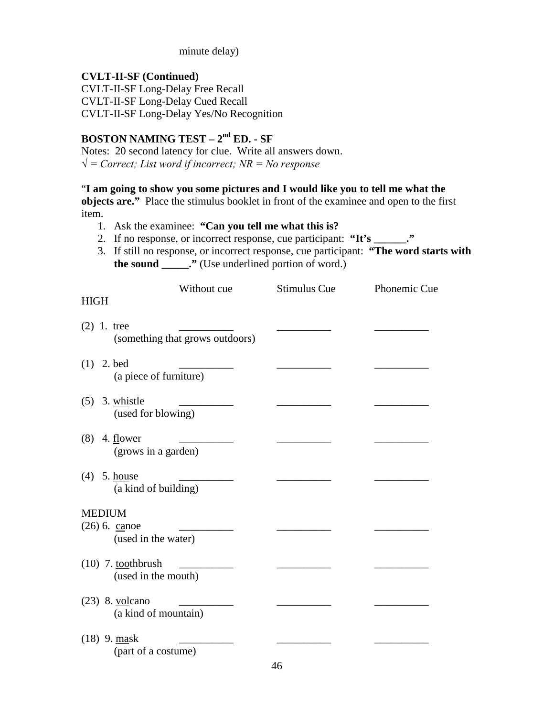minute delay)

## **CVLT-II-SF (Continued)**

CVLT-II-SF Long-Delay Free Recall CVLT-II-SF Long-Delay Cued Recall CVLT-II-SF Long-Delay Yes/No Recognition

# **BOSTON NAMING TEST – 2nd ED. - SF**

Notes: 20 second latency for clue. Write all answers down. *√ = Correct; List word if incorrect; NR = No response*

"**I am going to show you some pictures and I would like you to tell me what the** 

**objects are."** Place the stimulus booklet in front of the examinee and open to the first item.

- 1. Ask the examinee: **"Can you tell me what this is?**
- 2. If no response, or incorrect response, cue participant: **"It's \_\_\_\_\_\_."**
- 3. If still no response, or incorrect response, cue participant: **"The word starts with the sound \_\_\_\_\_."** (Use underlined portion of word.)

|               | Without cue                                      | Stimulus Cue | Phonemic Cue |
|---------------|--------------------------------------------------|--------------|--------------|
| <b>HIGH</b>   |                                                  |              |              |
|               | $(2)$ 1. tree<br>(something that grows outdoors) |              |              |
| (1)           | 2. bed<br>(a piece of furniture)                 |              |              |
| (5)           | 3. whistle<br>(used for blowing)                 |              |              |
| (8)           | 4. flower<br>(grows in a garden)                 |              |              |
| (4)           | 5. house<br>(a kind of building)                 |              |              |
| <b>MEDIUM</b> |                                                  |              |              |
|               | $(26)$ 6. canoe<br>(used in the water)           |              |              |
|               | $(10)$ 7. toothbrush<br>(used in the mouth)      |              |              |
|               | $(23)$ 8. volcano<br>(a kind of mountain)        |              |              |
|               | $(18)$ 9. mask<br>(part of a costume)            | $\Delta$ 6   |              |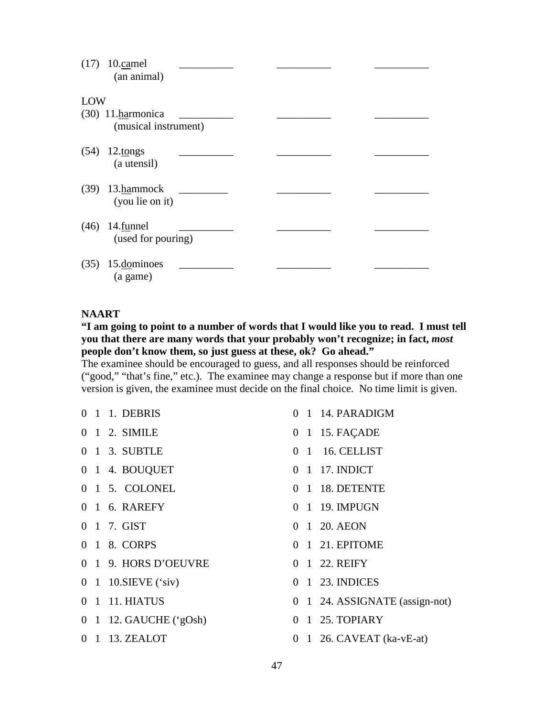| (17) | 10.camel<br>(an animal) |  |
|------|-------------------------|--|
| LOW  |                         |  |
|      | $(30)$ 11. harmonica    |  |
|      | (musical instrument)    |  |
| (54) | 12.tongs                |  |
|      | (a utensil)             |  |
| (39) | 13.hammock              |  |
|      | (you lie on it)         |  |
| (46) | 14.funnel               |  |
|      | (used for pouring)      |  |
|      |                         |  |
| (35) | 15.dominoes<br>(a game) |  |

## **NAART**

## **"I am going to point to a number of words that I would like you to read. I must tell you that there are many words that your probably won't recognize; in fact,** *most* **people don't know them, so just guess at these, ok? Go ahead."**

The examinee should be encouraged to guess, and all responses should be reinforced ("good," "that's fine," etc.). The examinee may change a response but if more than one version is given, the examinee must decide on the final choice. No time limit is given.

|  | 0 1 1. DEBRIS                         |  | 0 1 14. PARADIGM   |
|--|---------------------------------------|--|--------------------|
|  | 0 1 2. SIMILE                         |  | 0 1 15. FAÇADE     |
|  | 0 1 3. SUBTLE                         |  | 0 1 16. CELLIST    |
|  | 0 1 4. BOUQUET                        |  | 0 1 17. INDICT     |
|  | 0 1 5. COLONEL                        |  | 0 1 18. DETENTE    |
|  | 0 1 6. RAREFY                         |  | 0 1 19. IMPUGN     |
|  | 0 1 7. GIST                           |  | 0 1 20. AEON       |
|  | 0 1 8. CORPS                          |  | 0 1 21. EPITOME    |
|  | 0 1 9. HORS D'OEUVRE                  |  | 0 1 22. REIFY      |
|  | 0 1 10. SIEVE $(\text{`siv})$         |  | 0 1 23. INDICES    |
|  | 0 1 11. HIATUS                        |  | 0 1 24. ASSIGNATE  |
|  | $0 \quad 1 \quad 12$ . GAUCHE ('gOsh) |  | 0 1 25. TOPIARY    |
|  | 0 1 13. ZEALOT                        |  | 0 1 26. CAVEAT (ka |

- $( \text{assign-not})$
- $vE-at$ )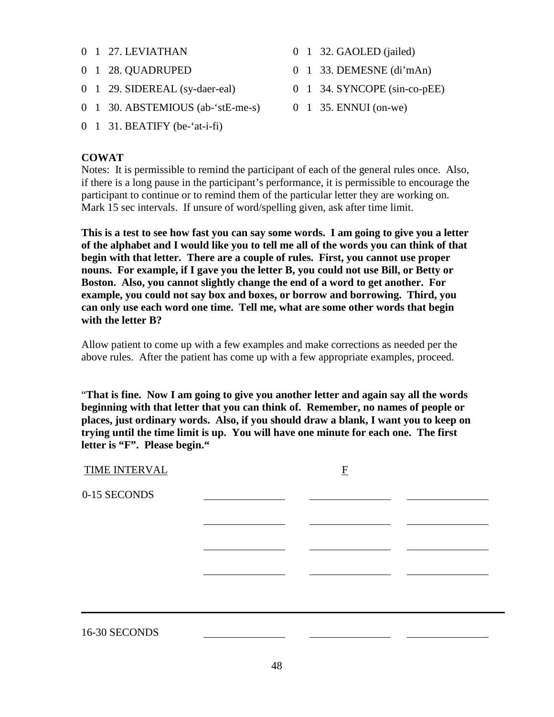- 0 1 27. LEVIATHAN
- 0 1 28. QUADRUPED
- 0 1 29. SIDEREAL (sy-daer-eal)
- 0 1 30. ABSTEMIOUS (ab-'stE-me-s)
- 0 1 31. BEATIFY (be-'at-i-fi)

## **COWAT**

- 0 1 32. GAOLED (jailed)
- 0 1 33. DEMESNE (di'mAn)
- 0 1 34. SYNCOPE (sin-co-pEE)
- 0 1 35. ENNUI (on-we)

Notes: It is permissible to remind the participant of each of the general rules once. Also, if there is a long pause in the participant's performance, it is permissible to encourage the participant to continue or to remind them of the particular letter they are working on. Mark 15 sec intervals. If unsure of word/spelling given, ask after time limit.

**This is a test to see how fast you can say some words. I am going to give you a letter of the alphabet and I would like you to tell me all of the words you can think of that begin with that letter. There are a couple of rules. First, you cannot use proper nouns. For example, if I gave you the letter B, you could not use Bill, or Betty or Boston. Also, you cannot slightly change the end of a word to get another. For example, you could not say box and boxes, or borrow and borrowing. Third, you can only use each word one time. Tell me, what are some other words that begin with the letter B?**

Allow patient to come up with a few examples and make corrections as needed per the above rules. After the patient has come up with a few appropriate examples, proceed.

"**That is fine. Now I am going to give you another letter and again say all the words beginning with that letter that you can think of. Remember, no names of people or places, just ordinary words. Also, if you should draw a blank, I want you to keep on trying until the time limit is up. You will have one minute for each one. The first letter is "F". Please begin."**

| <b>TIME INTERVAL</b> | $\mathbf{F}$ |  |
|----------------------|--------------|--|
| 0-15 SECONDS         |              |  |
|                      |              |  |
|                      |              |  |
|                      |              |  |
| 16-30 SECONDS        |              |  |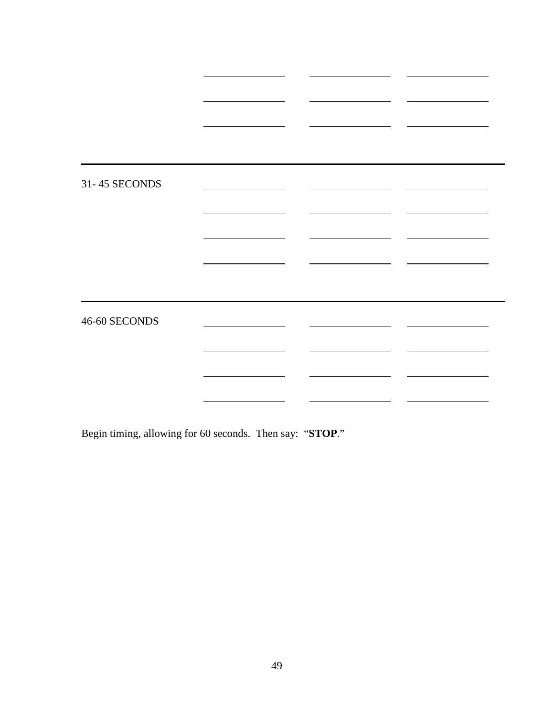| 31-45 SECONDS |  |  |
|---------------|--|--|
|               |  |  |
|               |  |  |
|               |  |  |
| 46-60 SECONDS |  |  |
|               |  |  |
|               |  |  |
|               |  |  |

Begin timing, allowing for 60 seconds. Then say: "**STOP**."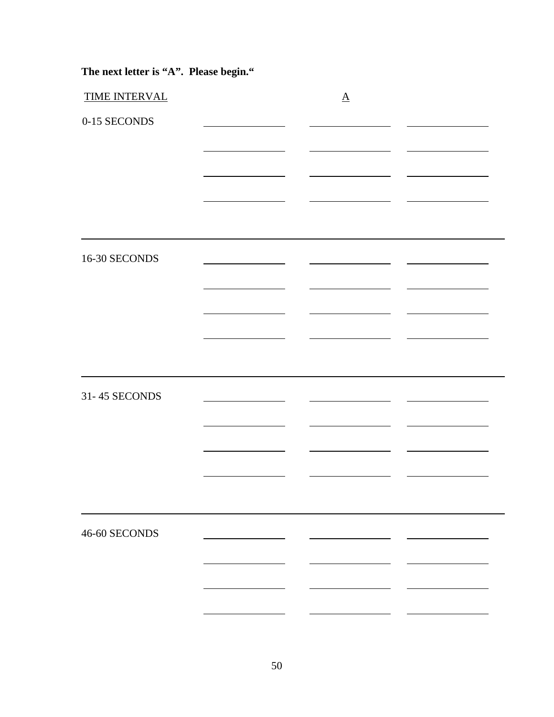| The next letter is "A". Please begin." |  |  |  |  |  |
|----------------------------------------|--|--|--|--|--|
|----------------------------------------|--|--|--|--|--|

| <b>TIME INTERVAL</b> | $\underline{A}$ |  |
|----------------------|-----------------|--|
| 0-15 SECONDS         |                 |  |
|                      |                 |  |
|                      |                 |  |
|                      |                 |  |
|                      |                 |  |
|                      |                 |  |
| 16-30 SECONDS        |                 |  |
|                      |                 |  |
|                      |                 |  |
|                      |                 |  |
|                      |                 |  |
|                      |                 |  |
| 31-45 SECONDS        |                 |  |
|                      |                 |  |
|                      |                 |  |
|                      |                 |  |
|                      |                 |  |
|                      |                 |  |
| 46-60 SECONDS        |                 |  |
|                      |                 |  |
|                      |                 |  |
|                      |                 |  |
|                      |                 |  |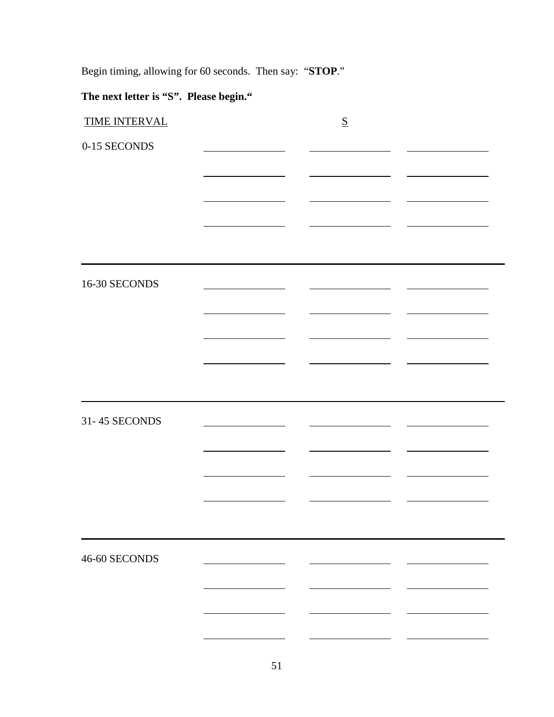Begin timing, allowing for 60 seconds. Then say: "**STOP**."

# **The next letter is "S". Please begin."**

| <b>TIME INTERVAL</b> | $\underline{\mathbf{S}}$ |  |
|----------------------|--------------------------|--|
| 0-15 SECONDS         |                          |  |
|                      |                          |  |
|                      |                          |  |
|                      |                          |  |
|                      |                          |  |
| 16-30 SECONDS        |                          |  |
|                      |                          |  |
|                      |                          |  |
|                      |                          |  |
|                      |                          |  |
|                      |                          |  |
| 31-45 SECONDS        |                          |  |
|                      |                          |  |
|                      |                          |  |
|                      |                          |  |
|                      |                          |  |
| 46-60 SECONDS        |                          |  |
|                      |                          |  |
|                      |                          |  |
|                      |                          |  |
|                      |                          |  |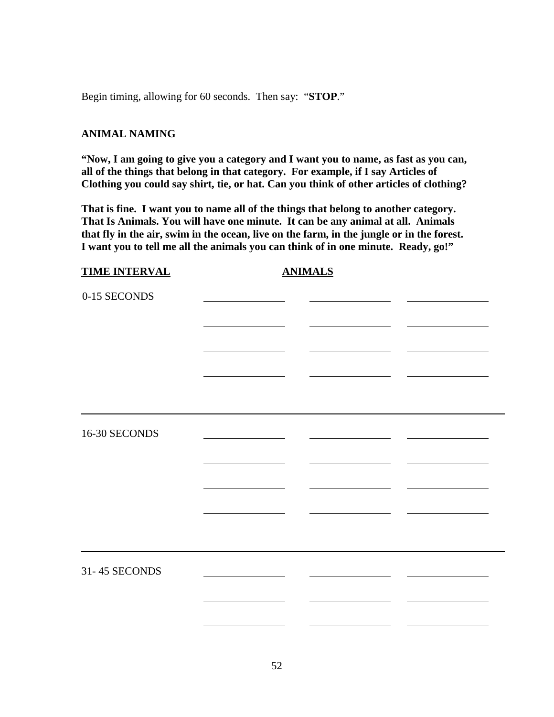Begin timing, allowing for 60 seconds. Then say: "**STOP**."

## **ANIMAL NAMING**

**"Now, I am going to give you a category and I want you to name, as fast as you can, all of the things that belong in that category. For example, if I say Articles of Clothing you could say shirt, tie, or hat. Can you think of other articles of clothing?**

**That is fine. I want you to name all of the things that belong to another category. That Is Animals. You will have one minute. It can be any animal at all. Animals that fly in the air, swim in the ocean, live on the farm, in the jungle or in the forest. I want you to tell me all the animals you can think of in one minute. Ready, go!"**

| <b>TIME INTERVAL</b> | <b>ANIMALS</b> |  |
|----------------------|----------------|--|
| 0-15 SECONDS         |                |  |
|                      |                |  |
|                      |                |  |
|                      |                |  |
| 16-30 SECONDS        |                |  |
|                      |                |  |
|                      |                |  |
|                      |                |  |
| 31-45 SECONDS        |                |  |
|                      |                |  |
|                      |                |  |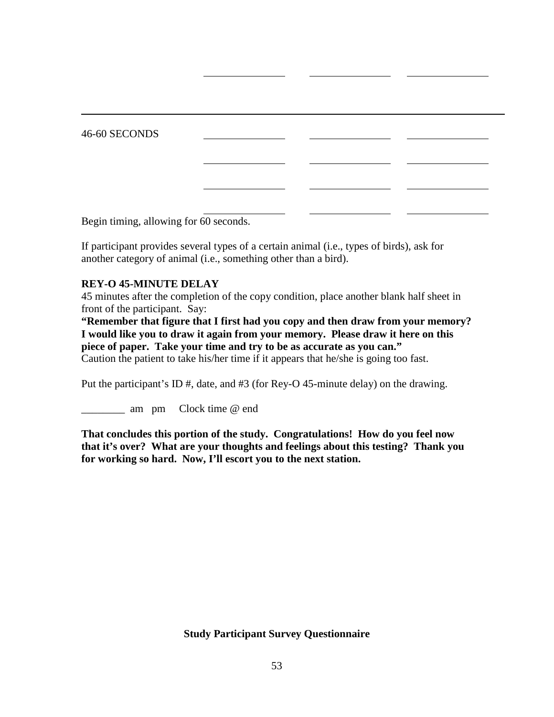46-60 SECONDS

Begin timing, allowing for 60 seconds.

If participant provides several types of a certain animal (i.e., types of birds), ask for another category of animal (i.e., something other than a bird).

## **REY-O 45-MINUTE DELAY**

45 minutes after the completion of the copy condition, place another blank half sheet in front of the participant. Say:

**"Remember that figure that I first had you copy and then draw from your memory? I would like you to draw it again from your memory. Please draw it here on this piece of paper. Take your time and try to be as accurate as you can."**

Caution the patient to take his/her time if it appears that he/she is going too fast.

Put the participant's ID #, date, and #3 (for Rey-O 45-minute delay) on the drawing.

\_\_\_\_\_\_\_\_ am pm Clock time @ end

**That concludes this portion of the study. Congratulations! How do you feel now that it's over? What are your thoughts and feelings about this testing? Thank you for working so hard. Now, I'll escort you to the next station.** 

**Study Participant Survey Questionnaire**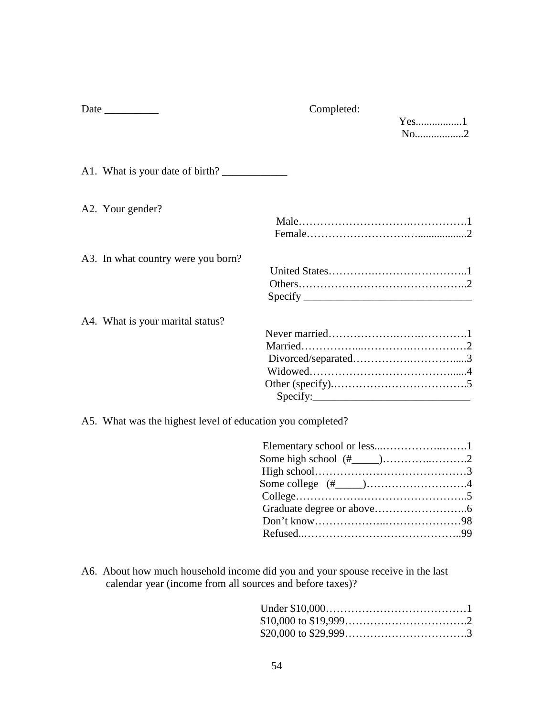|                                                            | Completed:                                                                                                                                                                                                                                                                                                                                                                                                                                                                                                                                                  |                               |
|------------------------------------------------------------|-------------------------------------------------------------------------------------------------------------------------------------------------------------------------------------------------------------------------------------------------------------------------------------------------------------------------------------------------------------------------------------------------------------------------------------------------------------------------------------------------------------------------------------------------------------|-------------------------------|
|                                                            |                                                                                                                                                                                                                                                                                                                                                                                                                                                                                                                                                             | $Yes$ 1<br>$No$ <sub></sub> 2 |
|                                                            |                                                                                                                                                                                                                                                                                                                                                                                                                                                                                                                                                             |                               |
| A1. What is your date of birth?                            |                                                                                                                                                                                                                                                                                                                                                                                                                                                                                                                                                             |                               |
| A2. Your gender?                                           |                                                                                                                                                                                                                                                                                                                                                                                                                                                                                                                                                             |                               |
|                                                            |                                                                                                                                                                                                                                                                                                                                                                                                                                                                                                                                                             |                               |
| A3. In what country were you born?                         |                                                                                                                                                                                                                                                                                                                                                                                                                                                                                                                                                             |                               |
|                                                            | $\text{Specify}$                                                                                                                                                                                                                                                                                                                                                                                                                                                                                                                                            |                               |
| A4. What is your marital status?                           |                                                                                                                                                                                                                                                                                                                                                                                                                                                                                                                                                             |                               |
|                                                            |                                                                                                                                                                                                                                                                                                                                                                                                                                                                                                                                                             |                               |
|                                                            |                                                                                                                                                                                                                                                                                                                                                                                                                                                                                                                                                             |                               |
|                                                            |                                                                                                                                                                                                                                                                                                                                                                                                                                                                                                                                                             |                               |
|                                                            |                                                                                                                                                                                                                                                                                                                                                                                                                                                                                                                                                             |                               |
|                                                            | $\text{Specify:}\n\begin{array}{ccc}\n\text{Specify:} & \quad \text{Specify:} \\ \quad \text{Specify:} & \quad \text{Specify:} \\ \quad \text{Specify:} & \quad \text{Specify:} \\ \quad \text{Specify:} & \quad \text{Specify:} \\ \quad \text{Specify:} & \quad \text{Specify:} \\ \quad \text{Specify:} & \quad \text{Specify:} \\ \quad \text{Specify:} & \quad \text{Specify:} \\ \quad \text{Specify:} & \quad \text{Specify:} \\ \quad \text{Specify:} & \quad \text{Specify:} \\ \quad \text{Specify:} & \quad \text{Specify:} \\ \quad \text{Spec$ |                               |
| A5. What was the highest level of education you completed? |                                                                                                                                                                                                                                                                                                                                                                                                                                                                                                                                                             |                               |

A6. About how much household income did you and your spouse receive in the last calendar year (income from all sources and before taxes)?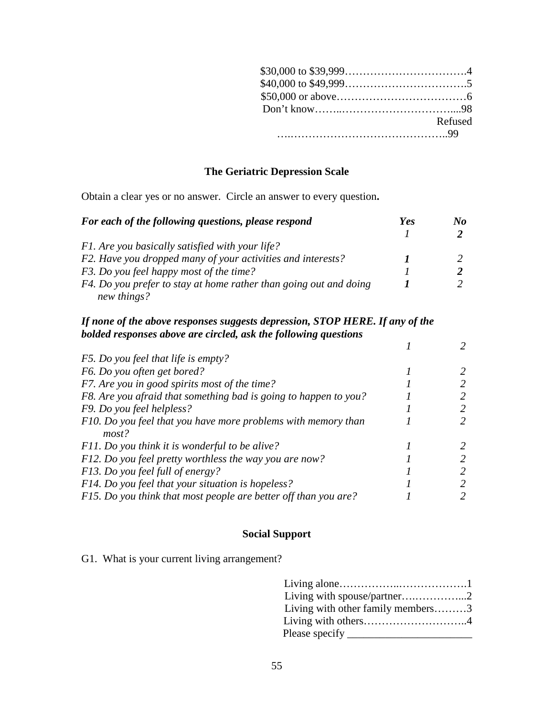| Refused |
|---------|
|         |

# **The Geriatric Depression Scale**

Obtain a clear yes or no answer. Circle an answer to every question**.**

| For each of the following questions, please respond               | Yes | No |
|-------------------------------------------------------------------|-----|----|
|                                                                   |     |    |
| F1. Are you basically satisfied with your life?                   |     |    |
| F2. Have you dropped many of your activities and interests?       |     |    |
| F3. Do you feel happy most of the time?                           |     |    |
| F4. Do you prefer to stay at home rather than going out and doing |     |    |
| new things?                                                       |     |    |

## *If none of the above responses suggests depression, STOP HERE. If any of the bolded responses above are circled, ask the following questions*

| F5. Do you feel that life is empty?                              |  |
|------------------------------------------------------------------|--|
| F6. Do you often get bored?                                      |  |
| F7. Are you in good spirits most of the time?                    |  |
| F8. Are you afraid that something bad is going to happen to you? |  |
| F9. Do you feel helpless?                                        |  |
| F10. Do you feel that you have more problems with memory than    |  |
| most?                                                            |  |
| F11. Do you think it is wonderful to be alive?                   |  |
| F12. Do you feel pretty worthless the way you are now?           |  |
| F13. Do you feel full of energy?                                 |  |
| F14. Do you feel that your situation is hopeless?                |  |
| F15. Do you think that most people are better off than you are?  |  |

# **Social Support**

G1. What is your current living arrangement?

| Living with spouse/partner2       |  |
|-----------------------------------|--|
| Living with other family members3 |  |
|                                   |  |
|                                   |  |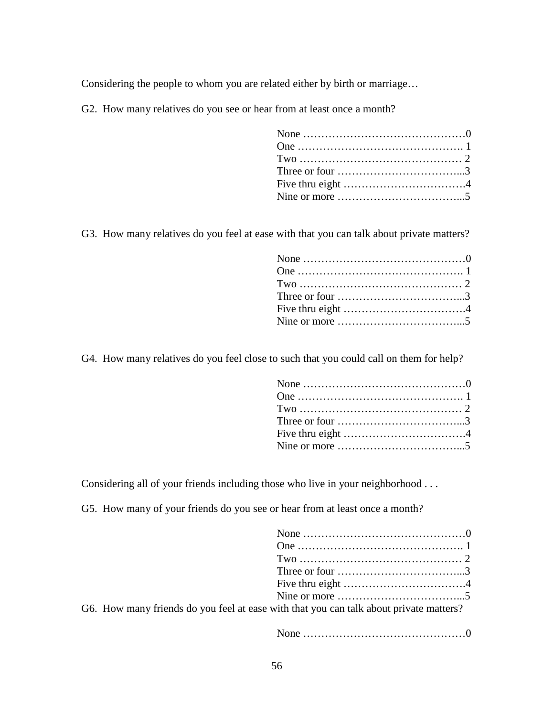Considering the people to whom you are related either by birth or marriage…

G2. How many relatives do you see or hear from at least once a month?

| Three or four $\dots \dots \dots \dots \dots \dots \dots \dots \dots$               |  |
|-------------------------------------------------------------------------------------|--|
| Five thru eight $\dots \dots \dots \dots \dots \dots \dots \dots \dots \dots \dots$ |  |
| Nine or more $\dots \dots \dots \dots \dots \dots \dots \dots \dots$                |  |

G3. How many relatives do you feel at ease with that you can talk about private matters?

| Three or four $\dots \dots \dots \dots \dots \dots \dots \dots \dots \dots \dots$ |  |
|-----------------------------------------------------------------------------------|--|
|                                                                                   |  |
|                                                                                   |  |

G4. How many relatives do you feel close to such that you could call on them for help?

| Three or four $\dots \dots \dots \dots \dots \dots \dots \dots \dots \dots \dots \dots$ |
|-----------------------------------------------------------------------------------------|
|                                                                                         |
| Nine or more $\dots \dots \dots \dots \dots \dots \dots \dots \dots \dots$              |
|                                                                                         |

Considering all of your friends including those who live in your neighborhood . . .

G5. How many of your friends do you see or hear from at least once a month?

| Three or four $\dots \dots \dots \dots \dots \dots \dots \dots \dots$                  |  |
|----------------------------------------------------------------------------------------|--|
| Five thru eight $\dots \dots \dots \dots \dots \dots \dots \dots \dots \dots \dots$    |  |
| Nine or more $\dots \dots \dots \dots \dots \dots \dots \dots \dots$                   |  |
| G6. How many friends do you feel at ease with that you can talk about private matters? |  |

None ………………………………………0